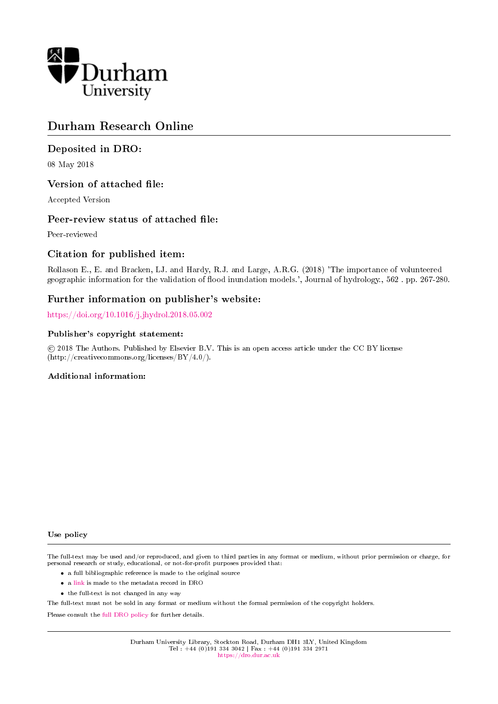

### Durham Research Online

#### Deposited in DRO:

08 May 2018

#### Version of attached file:

Accepted Version

#### Peer-review status of attached file:

Peer-reviewed

#### Citation for published item:

Rollason E., E. and Bracken, LJ. and Hardy, R.J. and Large, A.R.G. (2018) 'The importance of volunteered geographic information for the validation of flood inundation models.', Journal of hydrology., 562. pp. 267-280.

#### Further information on publisher's website:

<https://doi.org/10.1016/j.jhydrol.2018.05.002>

#### Publisher's copyright statement:

 c 2018 The Authors. Published by Elsevier B.V. This is an open access article under the CC BY license (http://creativecommons.org/licenses/BY/4.0/).

#### Additional information:

Use policy

The full-text may be used and/or reproduced, and given to third parties in any format or medium, without prior permission or charge, for personal research or study, educational, or not-for-profit purposes provided that:

- a full bibliographic reference is made to the original source
- a [link](http://dro.dur.ac.uk/24774/) is made to the metadata record in DRO
- the full-text is not changed in any way

The full-text must not be sold in any format or medium without the formal permission of the copyright holders.

Please consult the [full DRO policy](https://dro.dur.ac.uk/policies/usepolicy.pdf) for further details.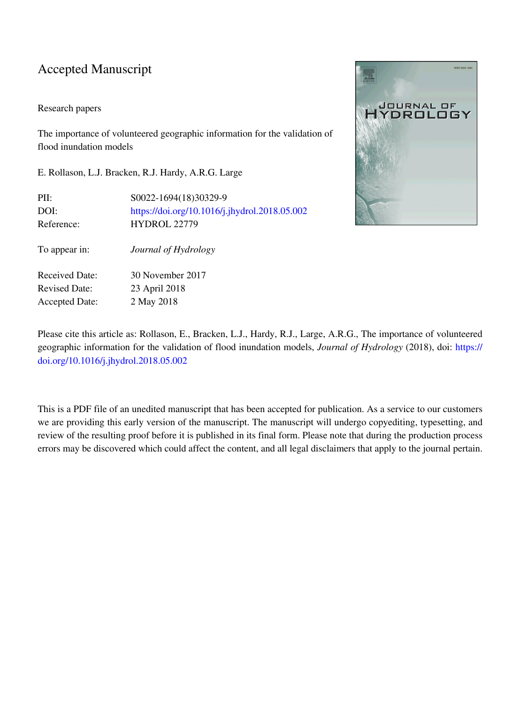### Accepted Manuscript

#### Research papers

The importance of volunteered geographic information for the validation of flood inundation models

E. Rollason, L.J. Bracken, R.J. Hardy, A.R.G. Large

| PII:                  | \$0022-1694(18)30329-9                        |
|-----------------------|-----------------------------------------------|
| DOI:                  | https://doi.org/10.1016/j.jhydrol.2018.05.002 |
| Reference:            | <b>HYDROL 22779</b>                           |
| To appear in:         | Journal of Hydrology                          |
| <b>Received Date:</b> | 30 November 2017                              |
| <b>Revised Date:</b>  | 23 April 2018                                 |
| <b>Accepted Date:</b> | 2 May 2018                                    |



Please cite this article as: Rollason, E., Bracken, L.J., Hardy, R.J., Large, A.R.G., The importance of volunteered geographic information for the validation of flood inundation models, *Journal of Hydrology* (2018), doi: [https://](https://doi.org/10.1016/j.jhydrol.2018.05.002) [doi.org/10.1016/j.jhydrol.2018.05.002](https://doi.org/10.1016/j.jhydrol.2018.05.002)

This is a PDF file of an unedited manuscript that has been accepted for publication. As a service to our customers we are providing this early version of the manuscript. The manuscript will undergo copyediting, typesetting, and review of the resulting proof before it is published in its final form. Please note that during the production process errors may be discovered which could affect the content, and all legal disclaimers that apply to the journal pertain.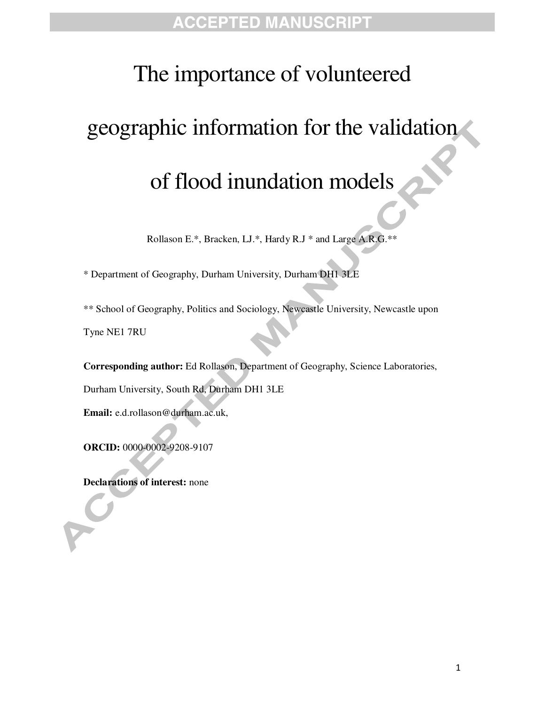# The importance of volunteered

# geographic information for the validation

# of flood inundation models

Rollason E.\*, Bracken, LJ.\*, Hardy R.J \* and Large A.R.G.\*\*

\* Department of Geography, Durham University, Durham DH1 3LE

\*\* School of Geography, Politics and Sociology, Newcastle University, Newcastle upon Tyne NE1 7RU

**Corresponding author:** Ed Rollason, Department of Geography, Science Laboratories,

Durham University, South Rd, Durham DH1 3LE

**Email:** e.d.rollason@durham.ac.uk,

**ORCID:** 0000-0002-9208-9107

**Declarations of interest:** none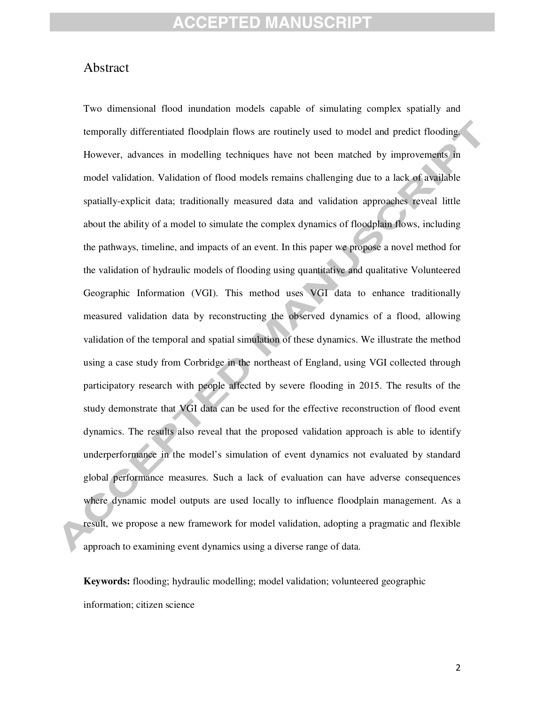#### Abstract

Two dimensional flood inundation models capable of simulating complex spatially and temporally differentiated floodplain flows are routinely used to model and predict flooding. However, advances in modelling techniques have not been matched by improvements in model validation. Validation of flood models remains challenging due to a lack of available spatially-explicit data; traditionally measured data and validation approaches reveal little about the ability of a model to simulate the complex dynamics of floodplain flows, including the pathways, timeline, and impacts of an event. In this paper we propose a novel method for the validation of hydraulic models of flooding using quantitative and qualitative Volunteered Geographic Information (VGI). This method uses VGI data to enhance traditionally measured validation data by reconstructing the observed dynamics of a flood, allowing validation of the temporal and spatial simulation of these dynamics. We illustrate the method using a case study from Corbridge in the northeast of England, using VGI collected through participatory research with people affected by severe flooding in 2015. The results of the study demonstrate that VGI data can be used for the effective reconstruction of flood event dynamics. The results also reveal that the proposed validation approach is able to identify underperformance in the model's simulation of event dynamics not evaluated by standard global performance measures. Such a lack of evaluation can have adverse consequences where dynamic model outputs are used locally to influence floodplain management. As a result, we propose a new framework for model validation, adopting a pragmatic and flexible approach to examining event dynamics using a diverse range of data.

**Keywords:** flooding; hydraulic modelling; model validation; volunteered geographic information; citizen science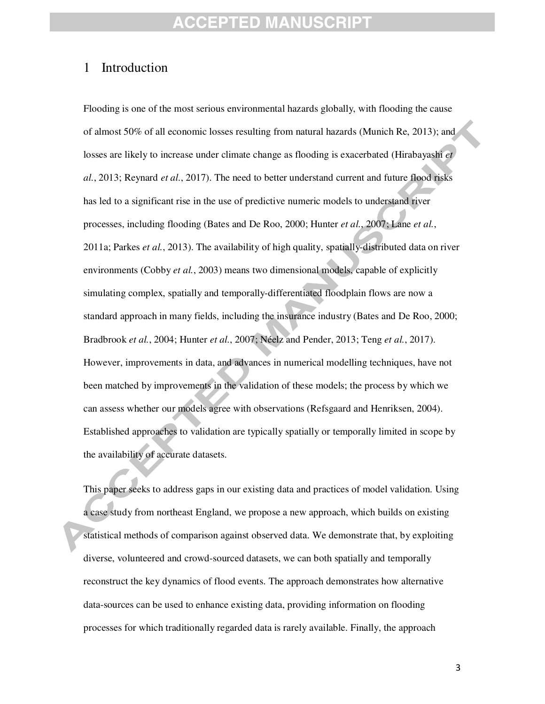#### 1 Introduction

Flooding is one of the most serious environmental hazards globally, with flooding the cause of almost 50% of all economic losses resulting from natural hazards (Munich Re, 2013); and losses are likely to increase under climate change as flooding is exacerbated (Hirabayashi *et al.*, 2013; Reynard *et al.*, 2017). The need to better understand current and future flood risks has led to a significant rise in the use of predictive numeric models to understand river processes, including flooding (Bates and De Roo, 2000; Hunter *et al.*, 2007; Lane *et al.*, 2011a; Parkes *et al.*, 2013). The availability of high quality, spatially-distributed data on river environments (Cobby *et al.*, 2003) means two dimensional models, capable of explicitly simulating complex, spatially and temporally-differentiated floodplain flows are now a standard approach in many fields, including the insurance industry (Bates and De Roo, 2000; Bradbrook *et al.*, 2004; Hunter *et al.*, 2007; Néelz and Pender, 2013; Teng *et al.*, 2017). However, improvements in data, and advances in numerical modelling techniques, have not been matched by improvements in the validation of these models; the process by which we can assess whether our models agree with observations (Refsgaard and Henriksen, 2004). Established approaches to validation are typically spatially or temporally limited in scope by the availability of accurate datasets.

This paper seeks to address gaps in our existing data and practices of model validation. Using a case study from northeast England, we propose a new approach, which builds on existing statistical methods of comparison against observed data. We demonstrate that, by exploiting diverse, volunteered and crowd-sourced datasets, we can both spatially and temporally reconstruct the key dynamics of flood events. The approach demonstrates how alternative data-sources can be used to enhance existing data, providing information on flooding processes for which traditionally regarded data is rarely available. Finally, the approach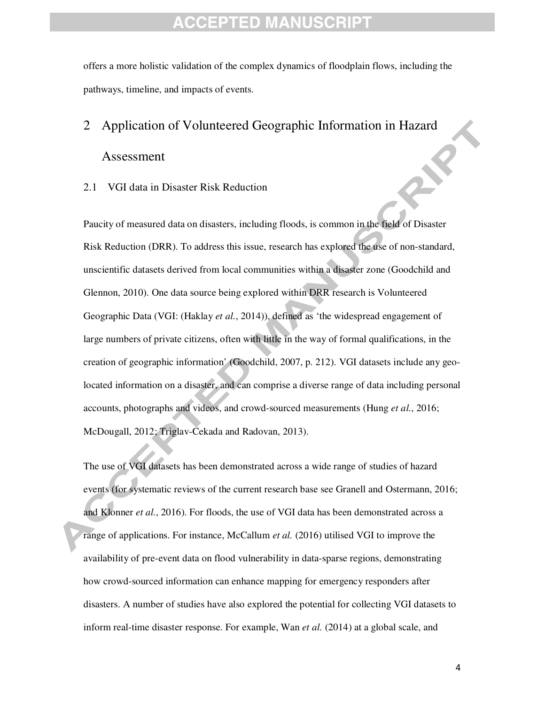offers a more holistic validation of the complex dynamics of floodplain flows, including the pathways, timeline, and impacts of events.

# 2 Application of Volunteered Geographic Information in Hazard Assessment

#### 2.1 VGI data in Disaster Risk Reduction

Paucity of measured data on disasters, including floods, is common in the field of Disaster Risk Reduction (DRR). To address this issue, research has explored the use of non-standard, unscientific datasets derived from local communities within a disaster zone (Goodchild and Glennon, 2010). One data source being explored within DRR research is Volunteered Geographic Data (VGI: (Haklay *et al.*, 2014)), defined as 'the widespread engagement of large numbers of private citizens, often with little in the way of formal qualifications, in the creation of geographic information' (Goodchild, 2007, p. 212). VGI datasets include any geolocated information on a disaster, and can comprise a diverse range of data including personal accounts, photographs and videos, and crowd-sourced measurements (Hung *et al.*, 2016; McDougall, 2012; Triglav-Cekada and Radovan, 2013).

The use of VGI datasets has been demonstrated across a wide range of studies of hazard events (for systematic reviews of the current research base see Granell and Ostermann, 2016; and Klonner *et al.*, 2016). For floods, the use of VGI data has been demonstrated across a range of applications. For instance, McCallum *et al.* (2016) utilised VGI to improve the availability of pre-event data on flood vulnerability in data-sparse regions, demonstrating how crowd-sourced information can enhance mapping for emergency responders after disasters. A number of studies have also explored the potential for collecting VGI datasets to inform real-time disaster response. For example, Wan *et al.* (2014) at a global scale, and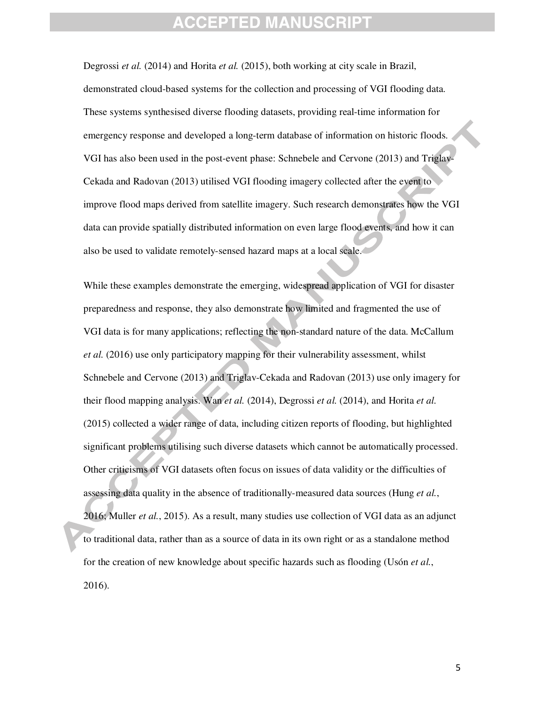Degrossi *et al.* (2014) and Horita *et al.* (2015), both working at city scale in Brazil, demonstrated cloud-based systems for the collection and processing of VGI flooding data. These systems synthesised diverse flooding datasets, providing real-time information for emergency response and developed a long-term database of information on historic floods. VGI has also been used in the post-event phase: Schnebele and Cervone (2013) and Triglav-Cekada and Radovan (2013) utilised VGI flooding imagery collected after the event to improve flood maps derived from satellite imagery. Such research demonstrates how the VGI data can provide spatially distributed information on even large flood events, and how it can also be used to validate remotely-sensed hazard maps at a local scale.

While these examples demonstrate the emerging, widespread application of VGI for disaster preparedness and response, they also demonstrate how limited and fragmented the use of VGI data is for many applications; reflecting the non-standard nature of the data. McCallum *et al.* (2016) use only participatory mapping for their vulnerability assessment, whilst Schnebele and Cervone (2013) and Triglav-Cekada and Radovan (2013) use only imagery for their flood mapping analysis. Wan *et al.* (2014), Degrossi *et al.* (2014), and Horita *et al.* (2015) collected a wider range of data, including citizen reports of flooding, but highlighted significant problems utilising such diverse datasets which cannot be automatically processed. Other criticisms of VGI datasets often focus on issues of data validity or the difficulties of assessing data quality in the absence of traditionally-measured data sources (Hung *et al.*, 2016; Muller *et al.*, 2015). As a result, many studies use collection of VGI data as an adjunct to traditional data, rather than as a source of data in its own right or as a standalone method for the creation of new knowledge about specific hazards such as flooding (Usón *et al.*, 2016).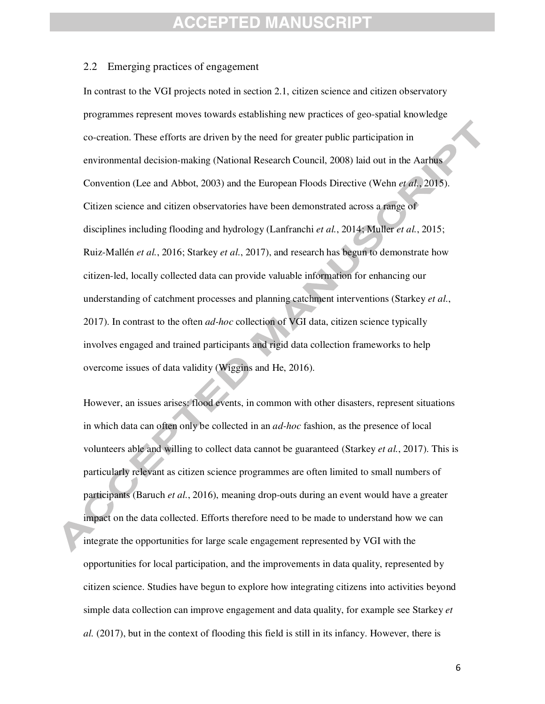#### 2.2 Emerging practices of engagement

In contrast to the VGI projects noted in section 2.1, citizen science and citizen observatory programmes represent moves towards establishing new practices of geo-spatial knowledge co-creation. These efforts are driven by the need for greater public participation in environmental decision-making (National Research Council, 2008) laid out in the Aarhus Convention (Lee and Abbot, 2003) and the European Floods Directive (Wehn *et al.*, 2015). Citizen science and citizen observatories have been demonstrated across a range of disciplines including flooding and hydrology (Lanfranchi *et al.*, 2014; Muller *et al.*, 2015; Ruiz-Mallén *et al.*, 2016; Starkey *et al.*, 2017), and research has begun to demonstrate how citizen-led, locally collected data can provide valuable information for enhancing our understanding of catchment processes and planning catchment interventions (Starkey *et al.*, 2017). In contrast to the often *ad-hoc* collection of VGI data, citizen science typically involves engaged and trained participants and rigid data collection frameworks to help overcome issues of data validity (Wiggins and He, 2016).

However, an issues arises: flood events, in common with other disasters, represent situations in which data can often only be collected in an *ad-hoc* fashion, as the presence of local volunteers able and willing to collect data cannot be guaranteed (Starkey *et al.*, 2017). This is particularly relevant as citizen science programmes are often limited to small numbers of participants (Baruch *et al.*, 2016), meaning drop-outs during an event would have a greater impact on the data collected. Efforts therefore need to be made to understand how we can integrate the opportunities for large scale engagement represented by VGI with the opportunities for local participation, and the improvements in data quality, represented by citizen science. Studies have begun to explore how integrating citizens into activities beyond simple data collection can improve engagement and data quality, for example see Starkey *et al.* (2017), but in the context of flooding this field is still in its infancy. However, there is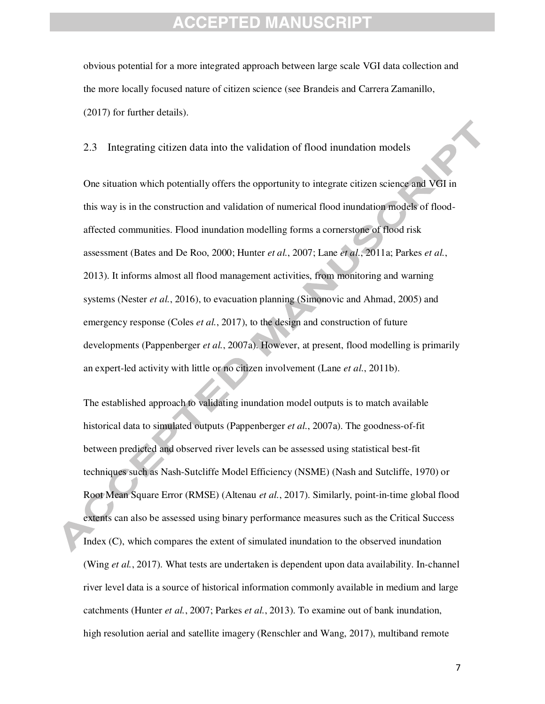obvious potential for a more integrated approach between large scale VGI data collection and the more locally focused nature of citizen science (see Brandeis and Carrera Zamanillo, (2017) for further details).

2.3 Integrating citizen data into the validation of flood inundation models

One situation which potentially offers the opportunity to integrate citizen science and VGI in this way is in the construction and validation of numerical flood inundation models of floodaffected communities. Flood inundation modelling forms a cornerstone of flood risk assessment (Bates and De Roo, 2000; Hunter *et al.*, 2007; Lane *et al.*, 2011a; Parkes *et al.*, 2013). It informs almost all flood management activities, from monitoring and warning systems (Nester *et al.*, 2016), to evacuation planning (Simonovic and Ahmad, 2005) and emergency response (Coles *et al.*, 2017), to the design and construction of future developments (Pappenberger *et al.*, 2007a). However, at present, flood modelling is primarily an expert-led activity with little or no citizen involvement (Lane *et al.*, 2011b).

The established approach to validating inundation model outputs is to match available historical data to simulated outputs (Pappenberger *et al.*, 2007a). The goodness-of-fit between predicted and observed river levels can be assessed using statistical best-fit techniques such as Nash-Sutcliffe Model Efficiency (NSME) (Nash and Sutcliffe, 1970) or Root Mean Square Error (RMSE) (Altenau *et al.*, 2017). Similarly, point-in-time global flood extents can also be assessed using binary performance measures such as the Critical Success Index (C), which compares the extent of simulated inundation to the observed inundation (Wing *et al.*, 2017). What tests are undertaken is dependent upon data availability. In-channel river level data is a source of historical information commonly available in medium and large catchments (Hunter *et al.*, 2007; Parkes *et al.*, 2013). To examine out of bank inundation, high resolution aerial and satellite imagery (Renschler and Wang, 2017), multiband remote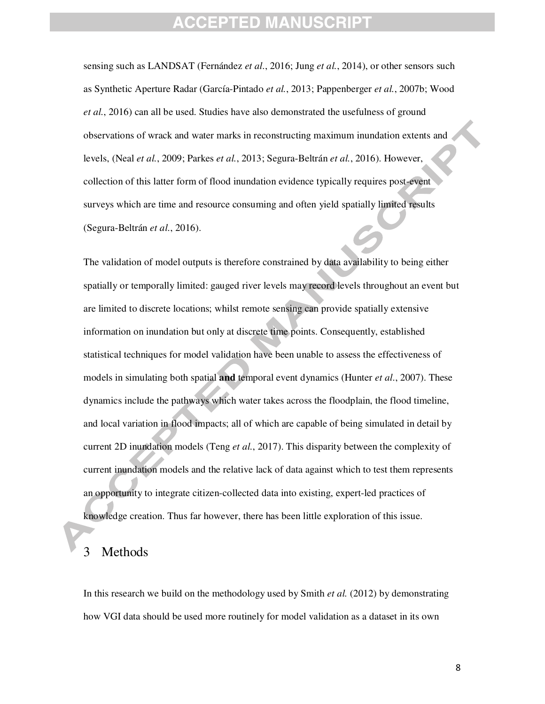sensing such as LANDSAT (Fernández *et al.*, 2016; Jung *et al.*, 2014), or other sensors such as Synthetic Aperture Radar (García-Pintado *et al.*, 2013; Pappenberger *et al.*, 2007b; Wood *et al.*, 2016) can all be used. Studies have also demonstrated the usefulness of ground observations of wrack and water marks in reconstructing maximum inundation extents and levels, (Neal *et al.*, 2009; Parkes *et al.*, 2013; Segura-Beltrán *et al.*, 2016). However, collection of this latter form of flood inundation evidence typically requires post-event surveys which are time and resource consuming and often yield spatially limited results (Segura-Beltrán *et al.*, 2016).

The validation of model outputs is therefore constrained by data availability to being either spatially or temporally limited: gauged river levels may record levels throughout an event but are limited to discrete locations; whilst remote sensing can provide spatially extensive information on inundation but only at discrete time points. Consequently, established statistical techniques for model validation have been unable to assess the effectiveness of models in simulating both spatial **and** temporal event dynamics (Hunter *et al.*, 2007). These dynamics include the pathways which water takes across the floodplain, the flood timeline, and local variation in flood impacts; all of which are capable of being simulated in detail by current 2D inundation models (Teng *et al.*, 2017). This disparity between the complexity of current inundation models and the relative lack of data against which to test them represents an opportunity to integrate citizen-collected data into existing, expert-led practices of knowledge creation. Thus far however, there has been little exploration of this issue.

#### **Methods**

In this research we build on the methodology used by Smith *et al.* (2012) by demonstrating how VGI data should be used more routinely for model validation as a dataset in its own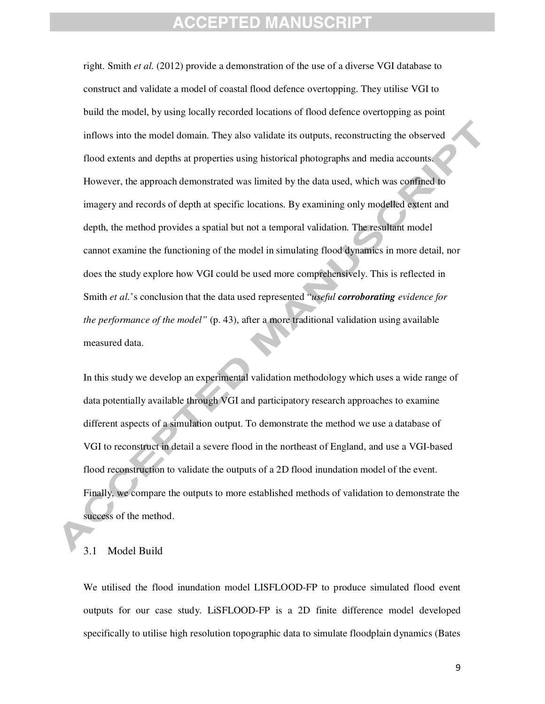right. Smith *et al.* (2012) provide a demonstration of the use of a diverse VGI database to construct and validate a model of coastal flood defence overtopping. They utilise VGI to build the model, by using locally recorded locations of flood defence overtopping as point inflows into the model domain. They also validate its outputs, reconstructing the observed flood extents and depths at properties using historical photographs and media accounts. However, the approach demonstrated was limited by the data used, which was confined to imagery and records of depth at specific locations. By examining only modelled extent and depth, the method provides a spatial but not a temporal validation. The resultant model cannot examine the functioning of the model in simulating flood dynamics in more detail, nor does the study explore how VGI could be used more comprehensively. This is reflected in Smith *et al.*'s conclusion that the data used represented "*useful corroborating evidence for the performance of the model"* (p. 43), after a more traditional validation using available measured data.

In this study we develop an experimental validation methodology which uses a wide range of data potentially available through VGI and participatory research approaches to examine different aspects of a simulation output. To demonstrate the method we use a database of VGI to reconstruct in detail a severe flood in the northeast of England, and use a VGI-based flood reconstruction to validate the outputs of a 2D flood inundation model of the event. Finally, we compare the outputs to more established methods of validation to demonstrate the success of the method.

#### 3.1 Model Build

We utilised the flood inundation model LISFLOOD-FP to produce simulated flood event outputs for our case study. LiSFLOOD-FP is a 2D finite difference model developed specifically to utilise high resolution topographic data to simulate floodplain dynamics (Bates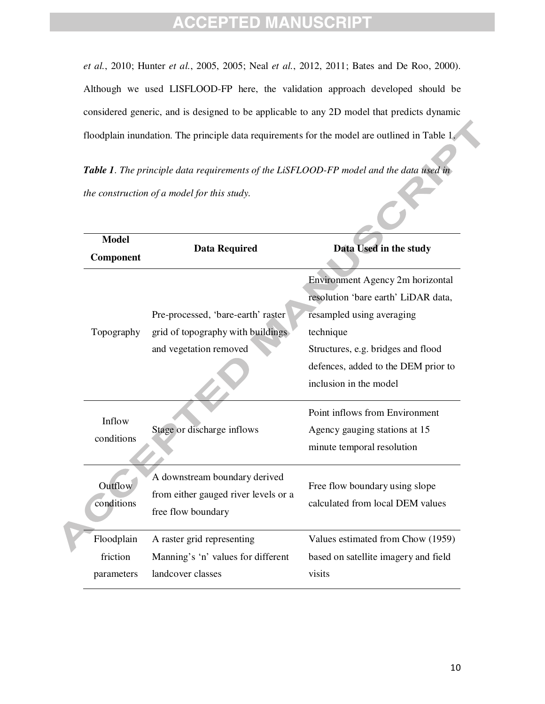*et al.*, 2010; Hunter *et al.*, 2005, 2005; Neal *et al.*, 2012, 2011; Bates and De Roo, 2000). Although we used LISFLOOD-FP here, the validation approach developed should be considered generic, and is designed to be applicable to any 2D model that predicts dynamic floodplain inundation. The principle data requirements for the model are outlined in Table 1.

*Table 1. The principle data requirements of the LiSFLOOD-FP model and the data used in the construction of a model for this study.* 

| <b>Model</b> |                                      |                                      |
|--------------|--------------------------------------|--------------------------------------|
| Component    | <b>Data Required</b>                 | Data Used in the study               |
|              |                                      | Environment Agency 2m horizontal     |
|              |                                      | resolution 'bare earth' LiDAR data,  |
|              | Pre-processed, 'bare-earth' raster   | resampled using averaging            |
| Topography   | grid of topography with buildings    | technique                            |
|              | and vegetation removed               | Structures, e.g. bridges and flood   |
|              |                                      | defences, added to the DEM prior to  |
|              |                                      | inclusion in the model               |
|              |                                      |                                      |
| Inflow       |                                      | Point inflows from Environment       |
| conditions   | Stage or discharge inflows           | Agency gauging stations at 15        |
|              |                                      | minute temporal resolution           |
|              | A downstream boundary derived        |                                      |
| Outflow      | from either gauged river levels or a | Free flow boundary using slope       |
| conditions   |                                      | calculated from local DEM values     |
|              | free flow boundary                   |                                      |
| Floodplain   | A raster grid representing           | Values estimated from Chow (1959)    |
| friction     | Manning's 'n' values for different   | based on satellite imagery and field |
| parameters   | landcover classes                    | visits                               |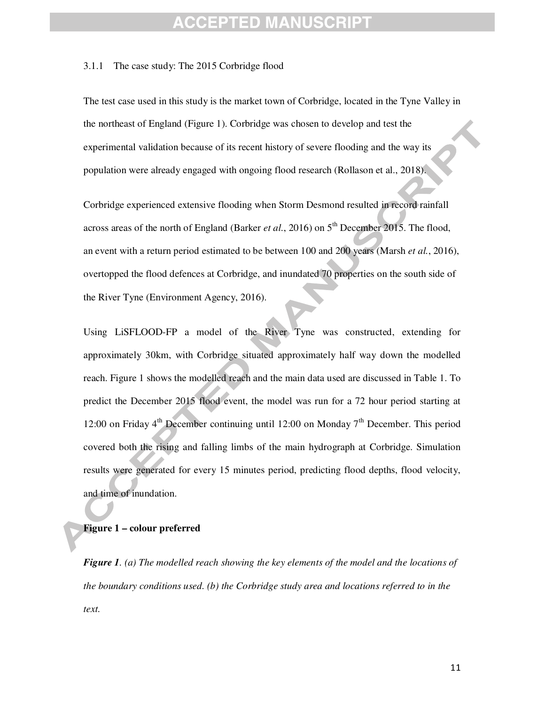### FPTED M.

#### 3.1.1 The case study: The 2015 Corbridge flood

The test case used in this study is the market town of Corbridge, located in the Tyne Valley in the northeast of England (Figure 1). Corbridge was chosen to develop and test the experimental validation because of its recent history of severe flooding and the way its population were already engaged with ongoing flood research (Rollason et al., 2018).

Corbridge experienced extensive flooding when Storm Desmond resulted in record rainfall across areas of the north of England (Barker *et al.*, 2016) on  $5<sup>th</sup>$  December 2015. The flood, an event with a return period estimated to be between 100 and 200 years (Marsh *et al.*, 2016), overtopped the flood defences at Corbridge, and inundated 70 properties on the south side of the River Tyne (Environment Agency, 2016).

Using LiSFLOOD-FP a model of the River Tyne was constructed, extending for approximately 30km, with Corbridge situated approximately half way down the modelled reach. Figure 1 shows the modelled reach and the main data used are discussed in Table 1. To predict the December 2015 flood event, the model was run for a 72 hour period starting at 12:00 on Friday  $4<sup>th</sup>$  December continuing until 12:00 on Monday  $7<sup>th</sup>$  December. This period covered both the rising and falling limbs of the main hydrograph at Corbridge. Simulation results were generated for every 15 minutes period, predicting flood depths, flood velocity, and time of inundation.

#### **Figure 1 – colour preferred**

*Figure 1. (a) The modelled reach showing the key elements of the model and the locations of the boundary conditions used. (b) the Corbridge study area and locations referred to in the text.*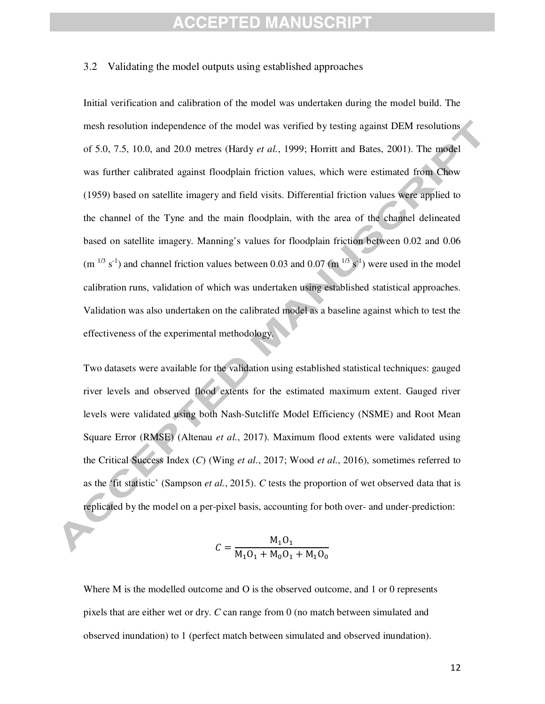#### 3.2 Validating the model outputs using established approaches

Initial verification and calibration of the model was undertaken during the model build. The mesh resolution independence of the model was verified by testing against DEM resolutions of 5.0, 7.5, 10.0, and 20.0 metres (Hardy *et al.*, 1999; Horritt and Bates, 2001). The model was further calibrated against floodplain friction values, which were estimated from Chow (1959) based on satellite imagery and field visits. Differential friction values were applied to the channel of the Tyne and the main floodplain, with the area of the channel delineated based on satellite imagery. Manning's values for floodplain friction between 0.02 and 0.06  $(m^{1/3} s^{-1})$  and channel friction values between 0.03 and 0.07  $(m^{1/3} s^{-1})$  were used in the model calibration runs, validation of which was undertaken using established statistical approaches. Validation was also undertaken on the calibrated model as a baseline against which to test the effectiveness of the experimental methodology.

Two datasets were available for the validation using established statistical techniques: gauged river levels and observed flood extents for the estimated maximum extent. Gauged river levels were validated using both Nash-Sutcliffe Model Efficiency (NSME) and Root Mean Square Error (RMSE) (Altenau *et al.*, 2017). Maximum flood extents were validated using the Critical Success Index (*C*) (Wing *et al.*, 2017; Wood *et al.*, 2016), sometimes referred to as the 'fit statistic' (Sampson *et al.*, 2015). *C* tests the proportion of wet observed data that is replicated by the model on a per-pixel basis, accounting for both over- and under-prediction:

$$
C = \frac{M_1 O_1}{M_1 O_1 + M_0 O_1 + M_1 O_0}
$$

Where M is the modelled outcome and O is the observed outcome, and 1 or 0 represents pixels that are either wet or dry. *C* can range from 0 (no match between simulated and observed inundation) to 1 (perfect match between simulated and observed inundation).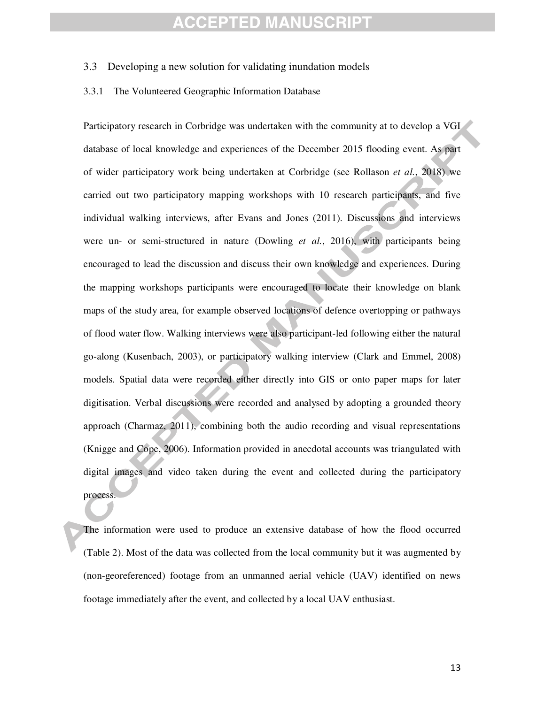#### 3.3 Developing a new solution for validating inundation models

#### 3.3.1 The Volunteered Geographic Information Database

Participatory research in Corbridge was undertaken with the community at to develop a VGI database of local knowledge and experiences of the December 2015 flooding event. As part of wider participatory work being undertaken at Corbridge (see Rollason *et al.*, 2018) we carried out two participatory mapping workshops with 10 research participants, and five individual walking interviews, after Evans and Jones (2011). Discussions and interviews were un- or semi-structured in nature (Dowling *et al.*, 2016), with participants being encouraged to lead the discussion and discuss their own knowledge and experiences. During the mapping workshops participants were encouraged to locate their knowledge on blank maps of the study area, for example observed locations of defence overtopping or pathways of flood water flow. Walking interviews were also participant-led following either the natural go-along (Kusenbach, 2003), or participatory walking interview (Clark and Emmel, 2008) models. Spatial data were recorded either directly into GIS or onto paper maps for later digitisation. Verbal discussions were recorded and analysed by adopting a grounded theory approach (Charmaz, 2011), combining both the audio recording and visual representations (Knigge and Cope, 2006). Information provided in anecdotal accounts was triangulated with digital images and video taken during the event and collected during the participatory process.

The information were used to produce an extensive database of how the flood occurred (Table 2). Most of the data was collected from the local community but it was augmented by (non-georeferenced) footage from an unmanned aerial vehicle (UAV) identified on news footage immediately after the event, and collected by a local UAV enthusiast.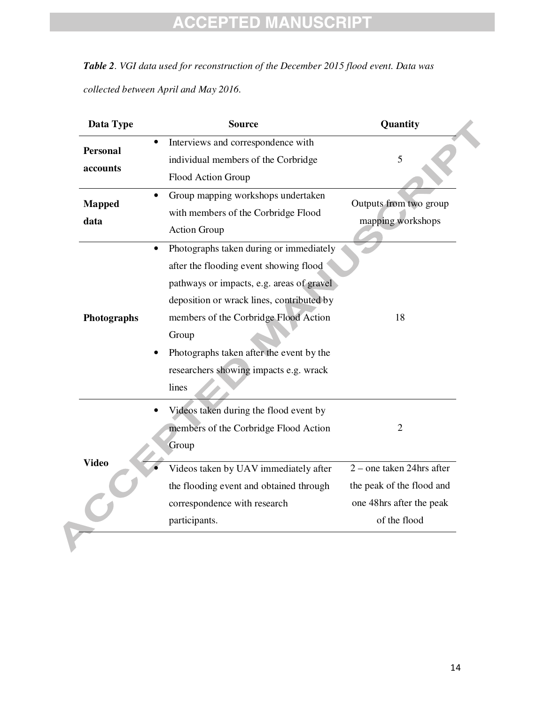*Table 2. VGI data used for reconstruction of the December 2015 flood event. Data was collected between April and May 2016.* 

| Data Type                                | <b>Source</b>                                                                                                                                                                                                                                                                                                                | Quantity                                                                                           |
|------------------------------------------|------------------------------------------------------------------------------------------------------------------------------------------------------------------------------------------------------------------------------------------------------------------------------------------------------------------------------|----------------------------------------------------------------------------------------------------|
| $\bullet$<br><b>Personal</b><br>accounts | Interviews and correspondence with<br>individual members of the Corbridge<br>Flood Action Group                                                                                                                                                                                                                              | 5                                                                                                  |
| <b>Mapped</b><br>data                    | Group mapping workshops undertaken<br>with members of the Corbridge Flood<br><b>Action Group</b>                                                                                                                                                                                                                             | Outputs from two group<br>mapping workshops                                                        |
| Photographs                              | Photographs taken during or immediately<br>after the flooding event showing flood<br>pathways or impacts, e.g. areas of gravel<br>deposition or wrack lines, contributed by<br>members of the Corbridge Flood Action<br>Group<br>Photographs taken after the event by the<br>researchers showing impacts e.g. wrack<br>lines | 18                                                                                                 |
|                                          | Videos taken during the flood event by<br>members of the Corbridge Flood Action<br>Group                                                                                                                                                                                                                                     | 2                                                                                                  |
| <b>Video</b>                             | Videos taken by UAV immediately after<br>the flooding event and obtained through<br>correspondence with research<br>participants.                                                                                                                                                                                            | 2 – one taken 24hrs after<br>the peak of the flood and<br>one 48hrs after the peak<br>of the flood |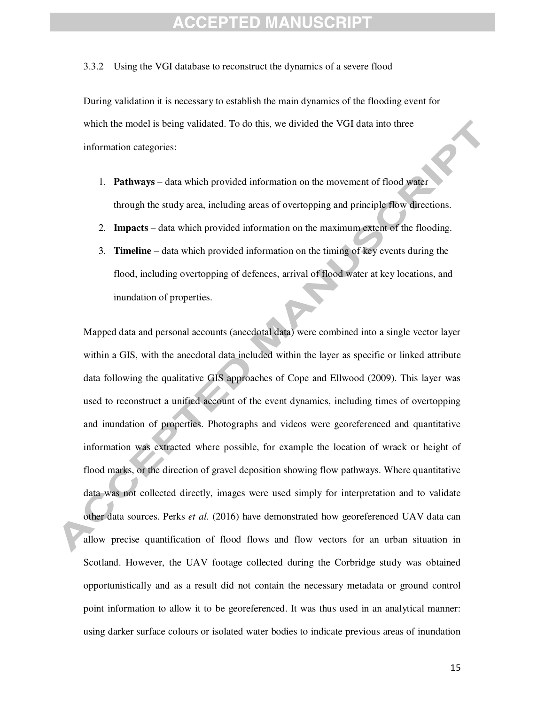#### 3.3.2 Using the VGI database to reconstruct the dynamics of a severe flood

During validation it is necessary to establish the main dynamics of the flooding event for which the model is being validated. To do this, we divided the VGI data into three information categories:

- 1. **Pathways** data which provided information on the movement of flood water through the study area, including areas of overtopping and principle flow directions.
- 2. **Impacts** data which provided information on the maximum extent of the flooding.
- 3. **Timeline**  data which provided information on the timing of key events during the flood, including overtopping of defences, arrival of flood water at key locations, and inundation of properties.

Mapped data and personal accounts (anecdotal data) were combined into a single vector layer within a GIS, with the anecdotal data included within the layer as specific or linked attribute data following the qualitative GIS approaches of Cope and Ellwood (2009). This layer was used to reconstruct a unified account of the event dynamics, including times of overtopping and inundation of properties. Photographs and videos were georeferenced and quantitative information was extracted where possible, for example the location of wrack or height of flood marks, or the direction of gravel deposition showing flow pathways. Where quantitative data was not collected directly, images were used simply for interpretation and to validate other data sources. Perks *et al.* (2016) have demonstrated how georeferenced UAV data can allow precise quantification of flood flows and flow vectors for an urban situation in Scotland. However, the UAV footage collected during the Corbridge study was obtained opportunistically and as a result did not contain the necessary metadata or ground control point information to allow it to be georeferenced. It was thus used in an analytical manner: using darker surface colours or isolated water bodies to indicate previous areas of inundation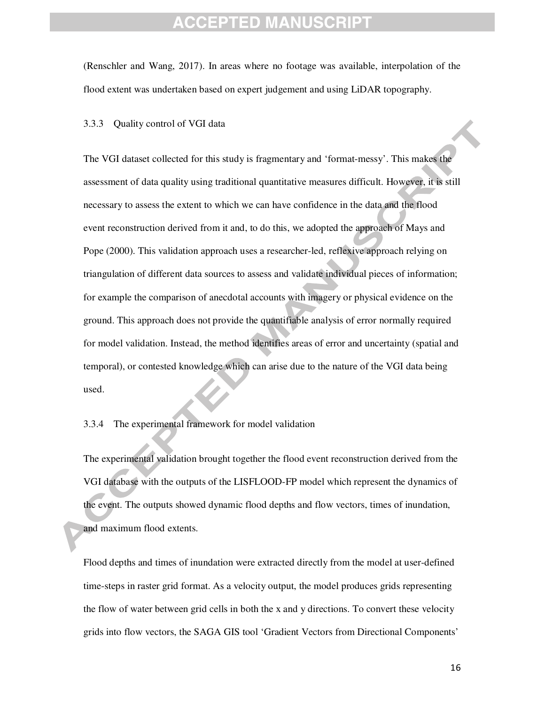(Renschler and Wang, 2017). In areas where no footage was available, interpolation of the flood extent was undertaken based on expert judgement and using LiDAR topography.

#### 3.3.3 Quality control of VGI data

The VGI dataset collected for this study is fragmentary and 'format-messy'. This makes the assessment of data quality using traditional quantitative measures difficult. However, it is still necessary to assess the extent to which we can have confidence in the data and the flood event reconstruction derived from it and, to do this, we adopted the approach of Mays and Pope (2000). This validation approach uses a researcher-led, reflexive approach relying on triangulation of different data sources to assess and validate individual pieces of information; for example the comparison of anecdotal accounts with imagery or physical evidence on the ground. This approach does not provide the quantifiable analysis of error normally required for model validation. Instead, the method identifies areas of error and uncertainty (spatial and temporal), or contested knowledge which can arise due to the nature of the VGI data being used.

3.3.4 The experimental framework for model validation

The experimental validation brought together the flood event reconstruction derived from the VGI database with the outputs of the LISFLOOD-FP model which represent the dynamics of the event. The outputs showed dynamic flood depths and flow vectors, times of inundation, and maximum flood extents.

Flood depths and times of inundation were extracted directly from the model at user-defined time-steps in raster grid format. As a velocity output, the model produces grids representing the flow of water between grid cells in both the x and y directions. To convert these velocity grids into flow vectors, the SAGA GIS tool 'Gradient Vectors from Directional Components'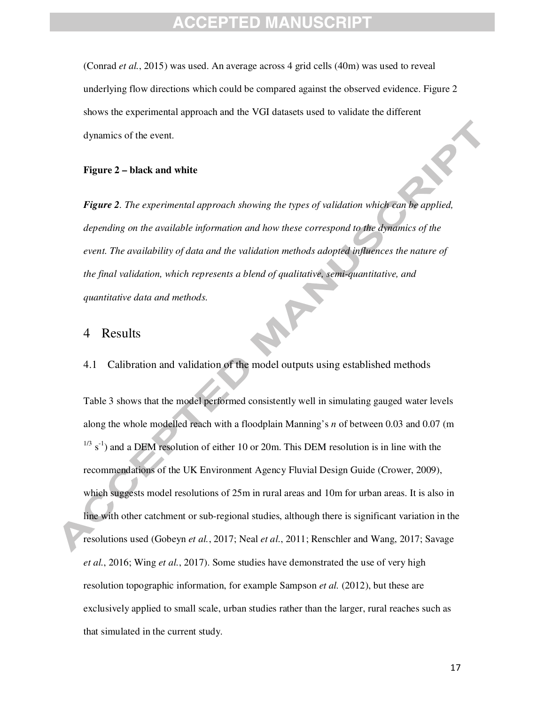(Conrad *et al.*, 2015) was used. An average across 4 grid cells (40m) was used to reveal underlying flow directions which could be compared against the observed evidence. Figure 2 shows the experimental approach and the VGI datasets used to validate the different dynamics of the event.

#### **Figure 2 – black and white**

*Figure 2. The experimental approach showing the types of validation which can be applied, depending on the available information and how these correspond to the dynamics of the event. The availability of data and the validation methods adopted influences the nature of the final validation, which represents a blend of qualitative, semi-quantitative, and quantitative data and methods.* 

#### 4 Results

4.1 Calibration and validation of the model outputs using established methods

Table 3 shows that the model performed consistently well in simulating gauged water levels along the whole modelled reach with a floodplain Manning's *n* of between 0.03 and 0.07 (m  $1/3$  s<sup>-1</sup>) and a DEM resolution of either 10 or 20m. This DEM resolution is in line with the recommendations of the UK Environment Agency Fluvial Design Guide (Crower, 2009), which suggests model resolutions of 25m in rural areas and 10m for urban areas. It is also in line with other catchment or sub-regional studies, although there is significant variation in the resolutions used (Gobeyn *et al.*, 2017; Neal *et al.*, 2011; Renschler and Wang, 2017; Savage *et al.*, 2016; Wing *et al.*, 2017). Some studies have demonstrated the use of very high resolution topographic information, for example Sampson *et al.* (2012), but these are exclusively applied to small scale, urban studies rather than the larger, rural reaches such as that simulated in the current study.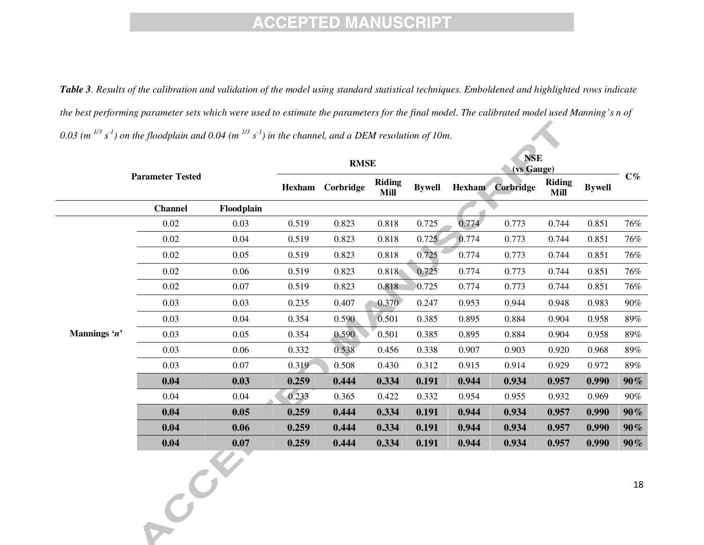*Table 3. Results of the calibration and validation of the model using standard statistical techniques. Emboldened and highlighted rows indicate the best performing parameter sets which were used to estimate the parameters for the final model. The calibrated model used Manning's n of 0.03 (m 1/3 s-1) on the floodplain and 0.04 (m 1/3 s-1) in the channel, and a DEM resolution of 10m.* 

|              | <b>Parameter Tested</b> |            | <b>RMSE</b> |           |                              | <b>NSE</b><br>(vs Gauge) |               |           |                              |               |        |
|--------------|-------------------------|------------|-------------|-----------|------------------------------|--------------------------|---------------|-----------|------------------------------|---------------|--------|
|              |                         |            | Hexham      | Corbridge | <b>Riding</b><br><b>Mill</b> | <b>Bywell</b>            | <b>Hexham</b> | Corbridge | <b>Riding</b><br><b>Mill</b> | <b>Bywell</b> | $C\%$  |
|              | <b>Channel</b>          | Floodplain |             |           |                              |                          |               |           |                              |               |        |
|              | 0.02                    | 0.03       | 0.519       | 0.823     | 0.818                        | 0.725                    | 0.774         | 0.773     | 0.744                        | 0.851         | 76%    |
|              | 0.02                    | 0.04       | 0.519       | 0.823     | 0.818                        | 0.725                    | 0.774         | 0.773     | 0.744                        | 0.851         | 76%    |
|              | $0.02\,$                | 0.05       | 0.519       | 0.823     | 0.818                        | 0.725                    | 0.774         | 0.773     | 0.744                        | 0.851         | 76%    |
|              | 0.02                    | 0.06       | 0.519       | 0.823     | 0.818                        | 0.725                    | 0.774         | 0.773     | 0.744                        | 0.851         | 76%    |
|              | 0.02                    | 0.07       | 0.519       | 0.823     | 0.818                        | 0.725                    | 0.774         | 0.773     | 0.744                        | 0.851         | 76%    |
|              | 0.03                    | 0.03       | 0.235       | 0.407     | 0.370                        | 0.247                    | 0.953         | 0.944     | 0.948                        | 0.983         | 90%    |
|              | 0.03                    | 0.04       | 0.354       | 0.590     | 0.501                        | 0.385                    | 0.895         | 0.884     | 0.904                        | 0.958         | 89%    |
| Mannings 'n' | 0.03                    | 0.05       | 0.354       | 0.590     | 0.501                        | 0.385                    | 0.895         | 0.884     | 0.904                        | 0.958         | 89%    |
|              | 0.03                    | 0.06       | 0.332       | 0.538     | 0.456                        | 0.338                    | 0.907         | 0.903     | 0.920                        | 0.968         | 89%    |
|              | 0.03                    | 0.07       | 0.319       | 0.508     | 0.430                        | 0.312                    | 0.915         | 0.914     | 0.929                        | 0.972         | 89%    |
|              | 0.04                    | 0.03       | 0.259       | 0.444     | 0.334                        | 0.191                    | 0.944         | 0.934     | 0.957                        | 0.990         | $90\%$ |
|              | 0.04                    | 0.04       | 0.233       | 0.365     | 0.422                        | 0.332                    | 0.954         | 0.955     | 0.932                        | 0.969         | 90%    |
|              | 0.04                    | 0.05       | 0.259       | 0.444     | 0.334                        | 0.191                    | 0.944         | 0.934     | 0.957                        | 0.990         | $90\%$ |
|              | 0.04                    | 0.06       | 0.259       | 0.444     | 0.334                        | 0.191                    | 0.944         | 0.934     | 0.957                        | 0.990         | $90\%$ |
|              | 0.04                    | 0.07       | 0.259       | 0.444     | 0.334                        | 0.191                    | 0.944         | 0.934     | 0.957                        | 0.990         | $90\%$ |
|              | CRE                     |            |             |           |                              |                          |               |           |                              |               | $18\,$ |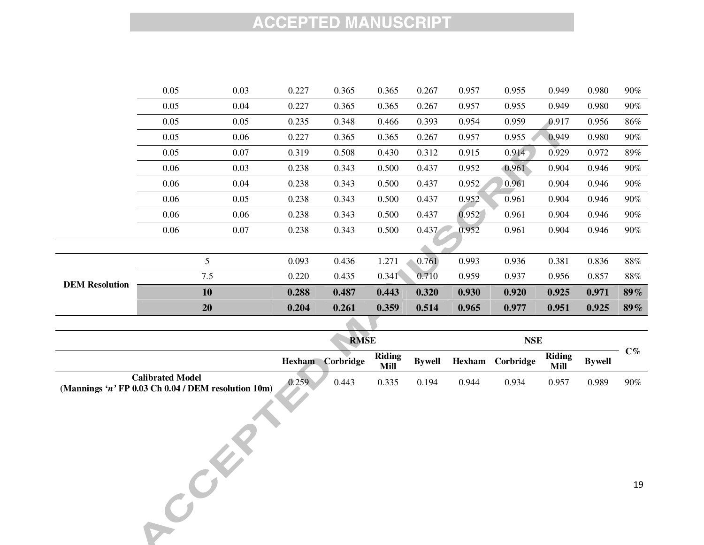|                       | 0.05 | 0.03 | 0.227 | 0.365 | 0.365 | 0.267 | 0.957 | 0.955 | 0.949 | 0.980 | 90%    |
|-----------------------|------|------|-------|-------|-------|-------|-------|-------|-------|-------|--------|
|                       | 0.05 | 0.04 | 0.227 | 0.365 | 0.365 | 0.267 | 0.957 | 0.955 | 0.949 | 0.980 | 90%    |
|                       | 0.05 | 0.05 | 0.235 | 0.348 | 0.466 | 0.393 | 0.954 | 0.959 | 0.917 | 0.956 | 86%    |
|                       | 0.05 | 0.06 | 0.227 | 0.365 | 0.365 | 0.267 | 0.957 | 0.955 | 0.949 | 0.980 | 90%    |
|                       | 0.05 | 0.07 | 0.319 | 0.508 | 0.430 | 0.312 | 0.915 | 0.914 | 0.929 | 0.972 | 89%    |
|                       | 0.06 | 0.03 | 0.238 | 0.343 | 0.500 | 0.437 | 0.952 | 0.961 | 0.904 | 0.946 | 90%    |
|                       | 0.06 | 0.04 | 0.238 | 0.343 | 0.500 | 0.437 | 0.952 | 0.961 | 0.904 | 0.946 | 90%    |
|                       | 0.06 | 0.05 | 0.238 | 0.343 | 0.500 | 0.437 | 0.952 | 0.961 | 0.904 | 0.946 | 90%    |
|                       | 0.06 | 0.06 | 0.238 | 0.343 | 0.500 | 0.437 | 0.952 | 0.961 | 0.904 | 0.946 | 90%    |
|                       | 0.06 | 0.07 | 0.238 | 0.343 | 0.500 | 0.437 | 0.952 | 0.961 | 0.904 | 0.946 | 90%    |
|                       |      |      |       |       |       |       |       |       |       |       |        |
|                       |      | 5    | 0.093 | 0.436 | 1.271 | 0.761 | 0.993 | 0.936 | 0.381 | 0.836 | $88\%$ |
|                       |      | 7.5  | 0.220 | 0.435 | 0.341 | 0.710 | 0.959 | 0.937 | 0.956 | 0.857 | $88\%$ |
| <b>DEM Resolution</b> |      | 10   | 0.288 | 0.487 | 0.443 | 0.320 | 0.930 | 0.920 | 0.925 | 0.971 | $89\%$ |
|                       |      | 20   | 0.204 | 0.261 | 0.359 | 0.514 | 0.965 | 0.977 | 0.951 | 0.925 | $89\%$ |
|                       |      |      |       |       |       |       |       |       |       |       |        |

|                                                                                | <b>RMSE</b>   |                  |                              | NSE           |        |           |                       |               |           |
|--------------------------------------------------------------------------------|---------------|------------------|------------------------------|---------------|--------|-----------|-----------------------|---------------|-----------|
|                                                                                | <b>Hexham</b> | <b>Corbridge</b> | <b>Riding</b><br><b>Mill</b> | <b>Bywell</b> | Hexham | Corbridge | <b>Riding</b><br>Mill | <b>Bywell</b> | $\bf C\%$ |
| <b>Calibrated Model</b><br>(Mannings 'n' FP 0.03 Ch 0.04 / DEM resolution 10m) | 0.259         | 0.443            | 0.335                        | 0.194         | 0.944  | 0.934     | 0.957                 | 0.989         | 90%       |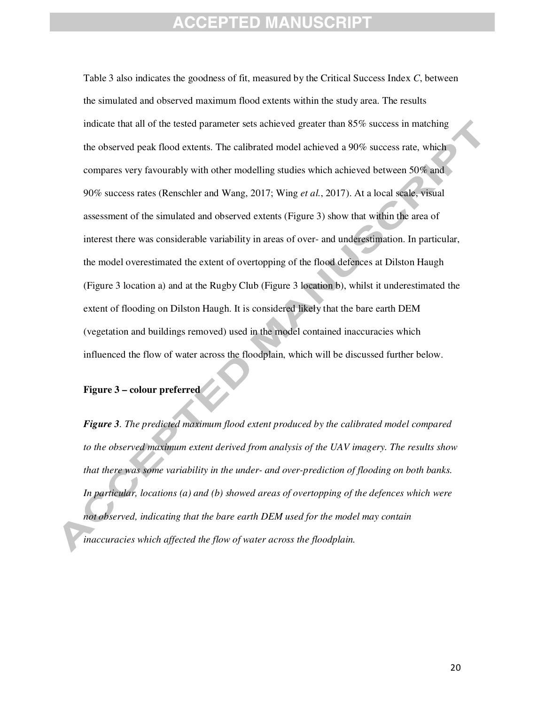### FPTED MANUS

Table 3 also indicates the goodness of fit, measured by the Critical Success Index *C*, between the simulated and observed maximum flood extents within the study area. The results indicate that all of the tested parameter sets achieved greater than 85% success in matching the observed peak flood extents. The calibrated model achieved a 90% success rate, which compares very favourably with other modelling studies which achieved between 50% and 90% success rates (Renschler and Wang, 2017; Wing *et al.*, 2017). At a local scale, visual assessment of the simulated and observed extents (Figure 3) show that within the area of interest there was considerable variability in areas of over- and underestimation. In particular, the model overestimated the extent of overtopping of the flood defences at Dilston Haugh (Figure 3 location a) and at the Rugby Club (Figure 3 location b), whilst it underestimated the extent of flooding on Dilston Haugh. It is considered likely that the bare earth DEM (vegetation and buildings removed) used in the model contained inaccuracies which influenced the flow of water across the floodplain, which will be discussed further below.

#### **Figure 3 – colour preferred**

*Figure 3. The predicted maximum flood extent produced by the calibrated model compared to the observed maximum extent derived from analysis of the UAV imagery. The results show that there was some variability in the under- and over-prediction of flooding on both banks. In particular, locations (a) and (b) showed areas of overtopping of the defences which were not observed, indicating that the bare earth DEM used for the model may contain inaccuracies which affected the flow of water across the floodplain.*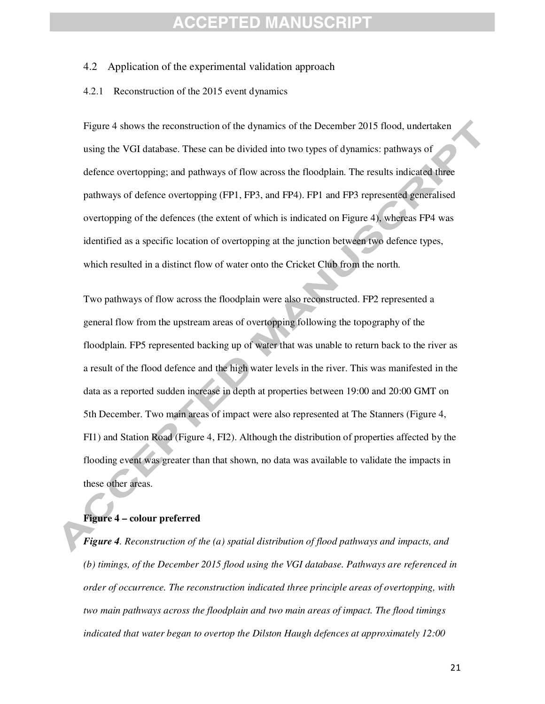### :CEPTED MANU

#### 4.2 Application of the experimental validation approach

#### 4.2.1 Reconstruction of the 2015 event dynamics

Figure 4 shows the reconstruction of the dynamics of the December 2015 flood, undertaken using the VGI database. These can be divided into two types of dynamics: pathways of defence overtopping; and pathways of flow across the floodplain. The results indicated three pathways of defence overtopping (FP1, FP3, and FP4). FP1 and FP3 represented generalised overtopping of the defences (the extent of which is indicated on Figure 4), whereas FP4 was identified as a specific location of overtopping at the junction between two defence types, which resulted in a distinct flow of water onto the Cricket Club from the north.

Two pathways of flow across the floodplain were also reconstructed. FP2 represented a general flow from the upstream areas of overtopping following the topography of the floodplain. FP5 represented backing up of water that was unable to return back to the river as a result of the flood defence and the high water levels in the river. This was manifested in the data as a reported sudden increase in depth at properties between 19:00 and 20:00 GMT on 5th December. Two main areas of impact were also represented at The Stanners (Figure 4, FI1) and Station Road (Figure 4, FI2). Although the distribution of properties affected by the flooding event was greater than that shown, no data was available to validate the impacts in these other areas.

#### **Figure 4 – colour preferred**

*Figure 4. Reconstruction of the (a) spatial distribution of flood pathways and impacts, and (b) timings, of the December 2015 flood using the VGI database. Pathways are referenced in order of occurrence. The reconstruction indicated three principle areas of overtopping, with two main pathways across the floodplain and two main areas of impact. The flood timings indicated that water began to overtop the Dilston Haugh defences at approximately 12:00*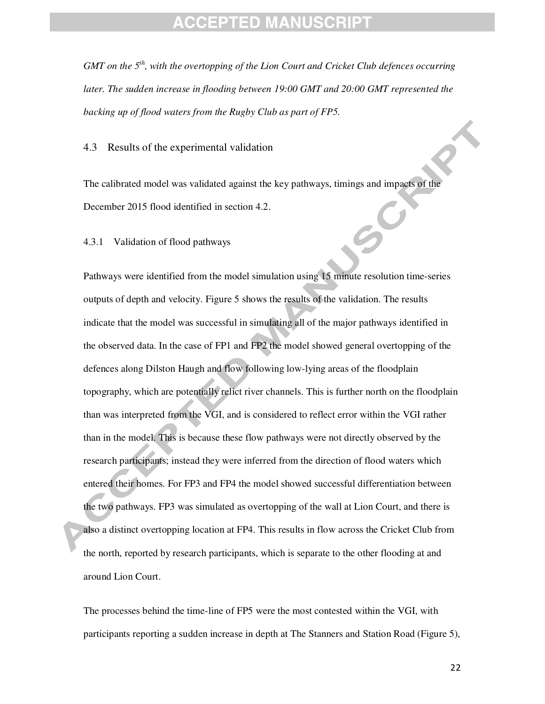*GMT on the 5th, with the overtopping of the Lion Court and Cricket Club defences occurring later. The sudden increase in flooding between 19:00 GMT and 20:00 GMT represented the backing up of flood waters from the Rugby Club as part of FP5.* 

4.3 Results of the experimental validation

The calibrated model was validated against the key pathways, timings and impacts of the December 2015 flood identified in section 4.2.

4.3.1 Validation of flood pathways

Pathways were identified from the model simulation using 15 minute resolution time-series outputs of depth and velocity. Figure 5 shows the results of the validation. The results indicate that the model was successful in simulating all of the major pathways identified in the observed data. In the case of FP1 and FP2 the model showed general overtopping of the defences along Dilston Haugh and flow following low-lying areas of the floodplain topography, which are potentially relict river channels. This is further north on the floodplain than was interpreted from the VGI, and is considered to reflect error within the VGI rather than in the model. This is because these flow pathways were not directly observed by the research participants; instead they were inferred from the direction of flood waters which entered their homes. For FP3 and FP4 the model showed successful differentiation between the two pathways. FP3 was simulated as overtopping of the wall at Lion Court, and there is also a distinct overtopping location at FP4. This results in flow across the Cricket Club from the north, reported by research participants, which is separate to the other flooding at and around Lion Court.

The processes behind the time-line of FP5 were the most contested within the VGI, with participants reporting a sudden increase in depth at The Stanners and Station Road (Figure 5),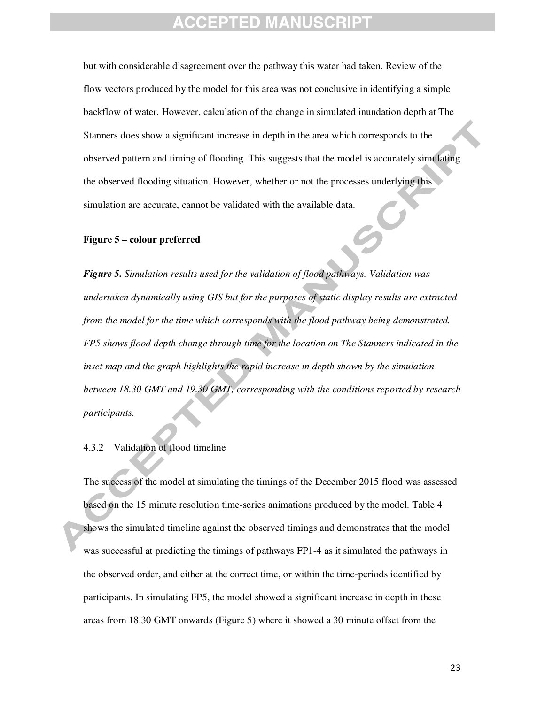### :CEPTED MANUSCR

but with considerable disagreement over the pathway this water had taken. Review of the flow vectors produced by the model for this area was not conclusive in identifying a simple backflow of water. However, calculation of the change in simulated inundation depth at The Stanners does show a significant increase in depth in the area which corresponds to the observed pattern and timing of flooding. This suggests that the model is accurately simulating the observed flooding situation. However, whether or not the processes underlying this simulation are accurate, cannot be validated with the available data.

#### **Figure 5 – colour preferred**

*Figure 5. Simulation results used for the validation of flood pathways. Validation was undertaken dynamically using GIS but for the purposes of static display results are extracted from the model for the time which corresponds with the flood pathway being demonstrated. FP5 shows flood depth change through time for the location on The Stanners indicated in the inset map and the graph highlights the rapid increase in depth shown by the simulation between 18.30 GMT and 19.30 GMT, corresponding with the conditions reported by research participants.* 

#### 4.3.2 Validation of flood timeline

The success of the model at simulating the timings of the December 2015 flood was assessed based on the 15 minute resolution time-series animations produced by the model. Table 4 shows the simulated timeline against the observed timings and demonstrates that the model was successful at predicting the timings of pathways FP1-4 as it simulated the pathways in the observed order, and either at the correct time, or within the time-periods identified by participants. In simulating FP5, the model showed a significant increase in depth in these areas from 18.30 GMT onwards (Figure 5) where it showed a 30 minute offset from the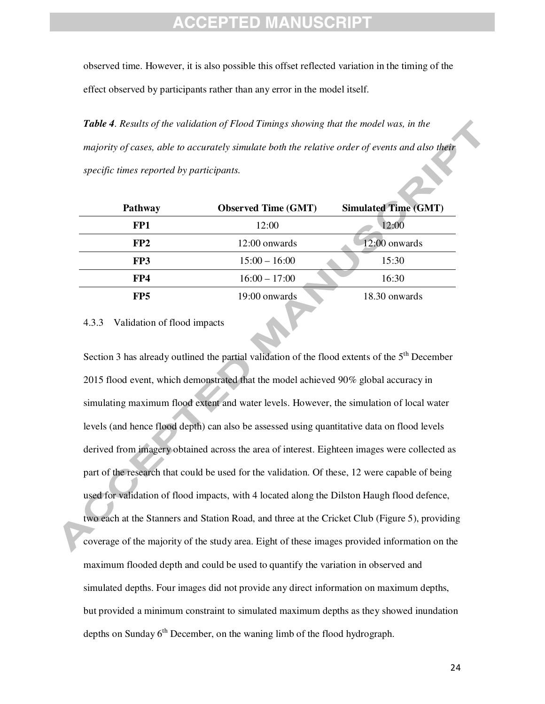observed time. However, it is also possible this offset reflected variation in the timing of the effect observed by participants rather than any error in the model itself.

*Table 4. Results of the validation of Flood Timings showing that the model was, in the majority of cases, able to accurately simulate both the relative order of events and also their specific times reported by participants.* 

| <b>Pathway</b>  | <b>Observed Time (GMT)</b> | <b>Simulated Time (GMT)</b> |
|-----------------|----------------------------|-----------------------------|
| FP1             | 12:00                      | 12:00                       |
| FP <sub>2</sub> | 12:00 onwards              | 12:00 onwards               |
| FP3             | $15:00 - 16:00$            | 15:30                       |
| FP4             | $16:00 - 17:00$            | 16:30                       |
| FP <sub>5</sub> | 19:00 onwards              | 18.30 onwards               |

N

4.3.3 Validation of flood impacts

Section 3 has already outlined the partial validation of the flood extents of the 5<sup>th</sup> December 2015 flood event, which demonstrated that the model achieved 90% global accuracy in simulating maximum flood extent and water levels. However, the simulation of local water levels (and hence flood depth) can also be assessed using quantitative data on flood levels derived from imagery obtained across the area of interest. Eighteen images were collected as part of the research that could be used for the validation. Of these, 12 were capable of being used for validation of flood impacts, with 4 located along the Dilston Haugh flood defence, two each at the Stanners and Station Road, and three at the Cricket Club (Figure 5), providing coverage of the majority of the study area. Eight of these images provided information on the maximum flooded depth and could be used to quantify the variation in observed and simulated depths. Four images did not provide any direct information on maximum depths, but provided a minimum constraint to simulated maximum depths as they showed inundation depths on Sunday  $6<sup>th</sup>$  December, on the waning limb of the flood hydrograph.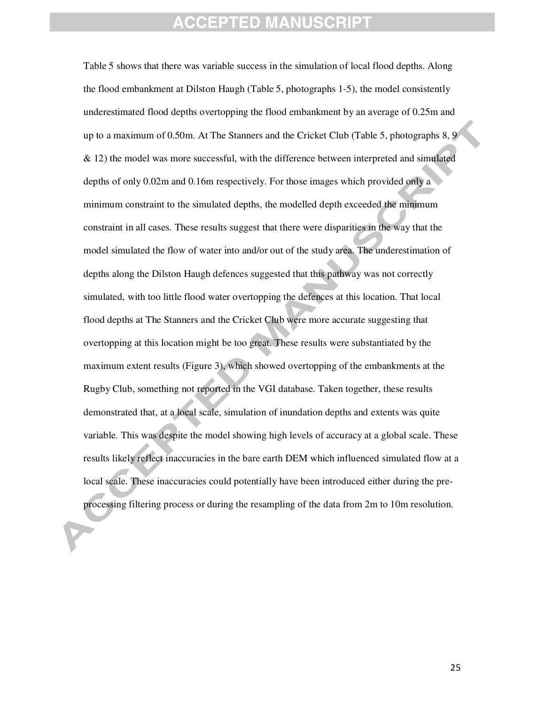Table 5 shows that there was variable success in the simulation of local flood depths. Along the flood embankment at Dilston Haugh (Table 5, photographs 1-5), the model consistently underestimated flood depths overtopping the flood embankment by an average of 0.25m and up to a maximum of 0.50m. At The Stanners and the Cricket Club (Table 5, photographs 8, 9 & 12) the model was more successful, with the difference between interpreted and simulated depths of only 0.02m and 0.16m respectively. For those images which provided only a minimum constraint to the simulated depths, the modelled depth exceeded the minimum constraint in all cases. These results suggest that there were disparities in the way that the model simulated the flow of water into and/or out of the study area. The underestimation of depths along the Dilston Haugh defences suggested that this pathway was not correctly simulated, with too little flood water overtopping the defences at this location. That local flood depths at The Stanners and the Cricket Club were more accurate suggesting that overtopping at this location might be too great. These results were substantiated by the maximum extent results (Figure 3), which showed overtopping of the embankments at the Rugby Club, something not reported in the VGI database. Taken together, these results demonstrated that, at a local scale, simulation of inundation depths and extents was quite variable. This was despite the model showing high levels of accuracy at a global scale. These results likely reflect inaccuracies in the bare earth DEM which influenced simulated flow at a local scale. These inaccuracies could potentially have been introduced either during the preprocessing filtering process or during the resampling of the data from 2m to 10m resolution.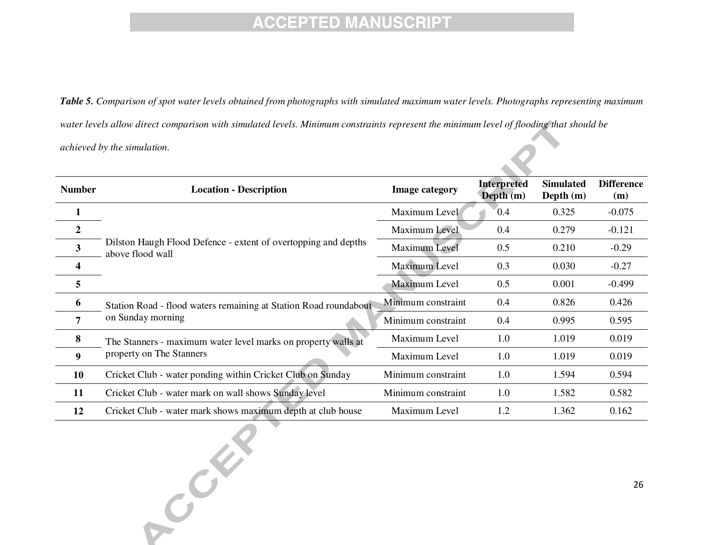*Table 5. Comparison of spot water levels obtained from photographs with simulated maximum water levels. Photographs representing maximum water levels allow direct comparison with simulated levels. Minimum constraints represent the minimum level of flooding that should be achieved by the simulation.* 

| <b>Number</b>  | <b>Location - Description</b>                                                      | <b>Image category</b> | <b>Interpreted</b><br>Depth $(m)$ | <b>Simulated</b><br>Depth $(m)$ | <b>Difference</b><br>(m) |
|----------------|------------------------------------------------------------------------------------|-----------------------|-----------------------------------|---------------------------------|--------------------------|
|                |                                                                                    | Maximum Level         | 0.4                               | 0.325                           | $-0.075$                 |
| $\overline{2}$ |                                                                                    | Maximum Level         | 0.4                               | 0.279                           | $-0.121$                 |
| 3              | Dilston Haugh Flood Defence - extent of overtopping and depths<br>above flood wall | Maximum Level         | 0.5                               | 0.210                           | $-0.29$                  |
|                |                                                                                    | Maximum Level         | 0.3                               | 0.030                           | $-0.27$                  |
| 5              |                                                                                    | Maximum Level         | 0.5                               | 0.001                           | $-0.499$                 |
| 6              | Station Road - flood waters remaining at Station Road roundabout                   | Minimum constraint    | 0.4                               | 0.826                           | 0.426                    |
| $\overline{7}$ | on Sunday morning                                                                  | Minimum constraint    | 0.4                               | 0.995                           | 0.595                    |
| 8              | The Stanners - maximum water level marks on property walls at                      | Maximum Level         | 1.0                               | 1.019                           | 0.019                    |
| 9              | property on The Stanners                                                           | Maximum Level         | 1.0                               | 1.019                           | 0.019                    |
| 10             | Cricket Club - water ponding within Cricket Club on Sunday                         | Minimum constraint    | 1.0                               | 1.594                           | 0.594                    |
| 11             | Cricket Club - water mark on wall shows Sunday level                               | Minimum constraint    | 1.0                               | 1.582                           | 0.582                    |
| 12             | Cricket Club - water mark shows maximum depth at club house                        | Maximum Level         | 1.2                               | 1.362                           | 0.162                    |

Contract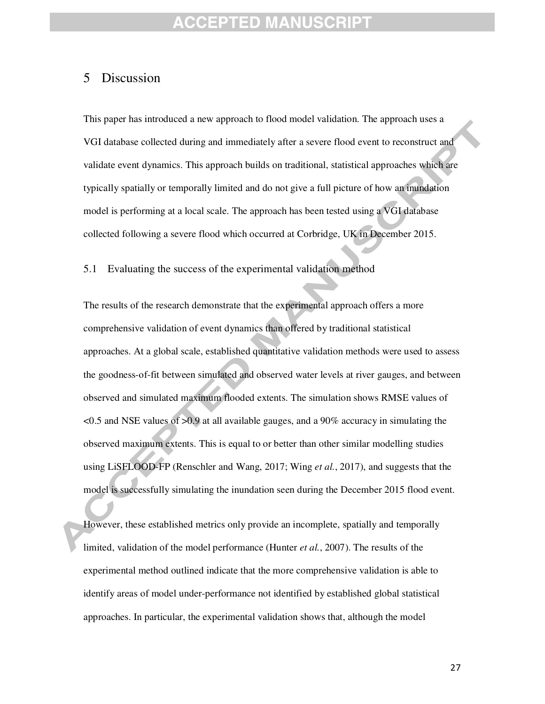### 5 Discussion

This paper has introduced a new approach to flood model validation. The approach uses a VGI database collected during and immediately after a severe flood event to reconstruct and validate event dynamics. This approach builds on traditional, statistical approaches which are typically spatially or temporally limited and do not give a full picture of how an inundation model is performing at a local scale. The approach has been tested using a VGI database collected following a severe flood which occurred at Corbridge, UK in December 2015.

5.1 Evaluating the success of the experimental validation method

The results of the research demonstrate that the experimental approach offers a more comprehensive validation of event dynamics than offered by traditional statistical approaches. At a global scale, established quantitative validation methods were used to assess the goodness-of-fit between simulated and observed water levels at river gauges, and between observed and simulated maximum flooded extents. The simulation shows RMSE values of  $\leq$ 0.5 and NSE values of  $\geq$ 0.9 at all available gauges, and a 90% accuracy in simulating the observed maximum extents. This is equal to or better than other similar modelling studies using LiSFLOOD-FP (Renschler and Wang, 2017; Wing *et al.*, 2017), and suggests that the model is successfully simulating the inundation seen during the December 2015 flood event.

However, these established metrics only provide an incomplete, spatially and temporally limited, validation of the model performance (Hunter *et al.*, 2007). The results of the experimental method outlined indicate that the more comprehensive validation is able to identify areas of model under-performance not identified by established global statistical approaches. In particular, the experimental validation shows that, although the model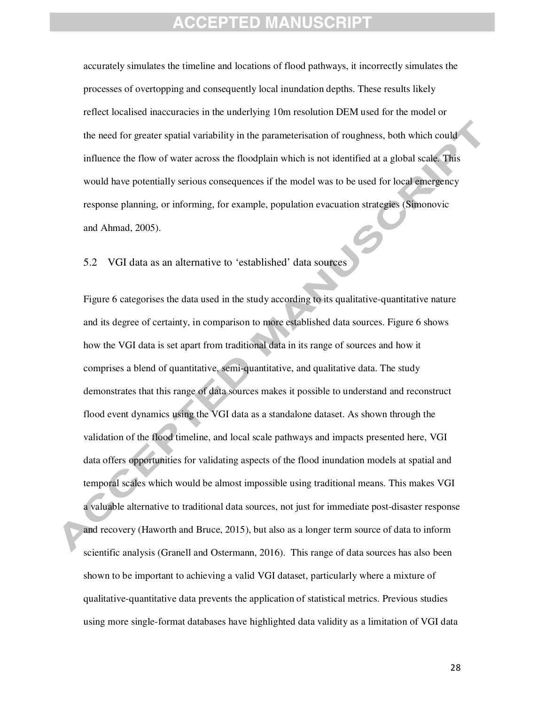accurately simulates the timeline and locations of flood pathways, it incorrectly simulates the processes of overtopping and consequently local inundation depths. These results likely reflect localised inaccuracies in the underlying 10m resolution DEM used for the model or the need for greater spatial variability in the parameterisation of roughness, both which could influence the flow of water across the floodplain which is not identified at a global scale. This would have potentially serious consequences if the model was to be used for local emergency response planning, or informing, for example, population evacuation strategies (Simonovic and Ahmad, 2005).

5.2 VGI data as an alternative to 'established' data sources

Figure 6 categorises the data used in the study according to its qualitative-quantitative nature and its degree of certainty, in comparison to more established data sources. Figure 6 shows how the VGI data is set apart from traditional data in its range of sources and how it comprises a blend of quantitative, semi-quantitative, and qualitative data. The study demonstrates that this range of data sources makes it possible to understand and reconstruct flood event dynamics using the VGI data as a standalone dataset. As shown through the validation of the flood timeline, and local scale pathways and impacts presented here, VGI data offers opportunities for validating aspects of the flood inundation models at spatial and temporal scales which would be almost impossible using traditional means. This makes VGI a valuable alternative to traditional data sources, not just for immediate post-disaster response and recovery (Haworth and Bruce, 2015), but also as a longer term source of data to inform scientific analysis (Granell and Ostermann, 2016). This range of data sources has also been shown to be important to achieving a valid VGI dataset, particularly where a mixture of qualitative-quantitative data prevents the application of statistical metrics. Previous studies using more single-format databases have highlighted data validity as a limitation of VGI data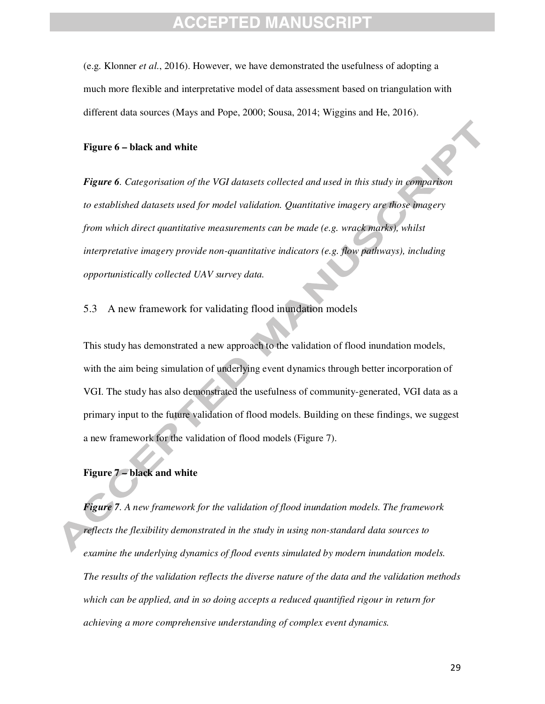### **CEPTED MANU**

(e.g. Klonner *et al.*, 2016). However, we have demonstrated the usefulness of adopting a much more flexible and interpretative model of data assessment based on triangulation with different data sources (Mays and Pope, 2000; Sousa, 2014; Wiggins and He, 2016).

#### **Figure 6 – black and white**

*Figure 6. Categorisation of the VGI datasets collected and used in this study in comparison to established datasets used for model validation. Quantitative imagery are those imagery from which direct quantitative measurements can be made (e.g. wrack marks), whilst interpretative imagery provide non-quantitative indicators (e.g. flow pathways), including opportunistically collected UAV survey data.* 

#### 5.3 A new framework for validating flood inundation models

This study has demonstrated a new approach to the validation of flood inundation models, with the aim being simulation of underlying event dynamics through better incorporation of VGI. The study has also demonstrated the usefulness of community-generated, VGI data as a primary input to the future validation of flood models. Building on these findings, we suggest a new framework for the validation of flood models (Figure 7).

#### **Figure 7 – black and white**

*Figure 7. A new framework for the validation of flood inundation models. The framework reflects the flexibility demonstrated in the study in using non-standard data sources to examine the underlying dynamics of flood events simulated by modern inundation models. The results of the validation reflects the diverse nature of the data and the validation methods which can be applied, and in so doing accepts a reduced quantified rigour in return for achieving a more comprehensive understanding of complex event dynamics.*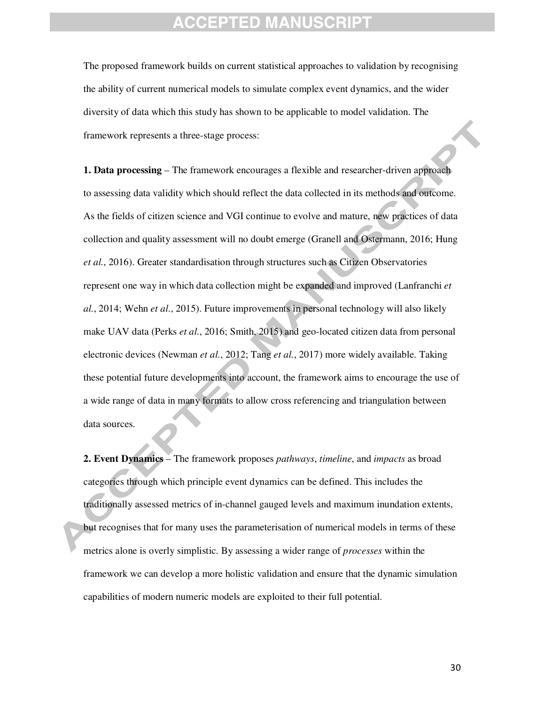The proposed framework builds on current statistical approaches to validation by recognising the ability of current numerical models to simulate complex event dynamics, and the wider diversity of data which this study has shown to be applicable to model validation. The framework represents a three-stage process:

**1. Data processing** – The framework encourages a flexible and researcher-driven approach to assessing data validity which should reflect the data collected in its methods and outcome. As the fields of citizen science and VGI continue to evolve and mature, new practices of data collection and quality assessment will no doubt emerge (Granell and Ostermann, 2016; Hung *et al.*, 2016). Greater standardisation through structures such as Citizen Observatories represent one way in which data collection might be expanded and improved (Lanfranchi *et al.*, 2014; Wehn *et al.*, 2015). Future improvements in personal technology will also likely make UAV data (Perks *et al.*, 2016; Smith, 2015) and geo-located citizen data from personal electronic devices (Newman *et al.*, 2012; Tang *et al.*, 2017) more widely available. Taking these potential future developments into account, the framework aims to encourage the use of a wide range of data in many formats to allow cross referencing and triangulation between data sources.

**2. Event Dynamics** – The framework proposes *pathways*, *timeline*, and *impacts* as broad categories through which principle event dynamics can be defined. This includes the traditionally assessed metrics of in-channel gauged levels and maximum inundation extents, but recognises that for many uses the parameterisation of numerical models in terms of these metrics alone is overly simplistic. By assessing a wider range of *processes* within the framework we can develop a more holistic validation and ensure that the dynamic simulation capabilities of modern numeric models are exploited to their full potential.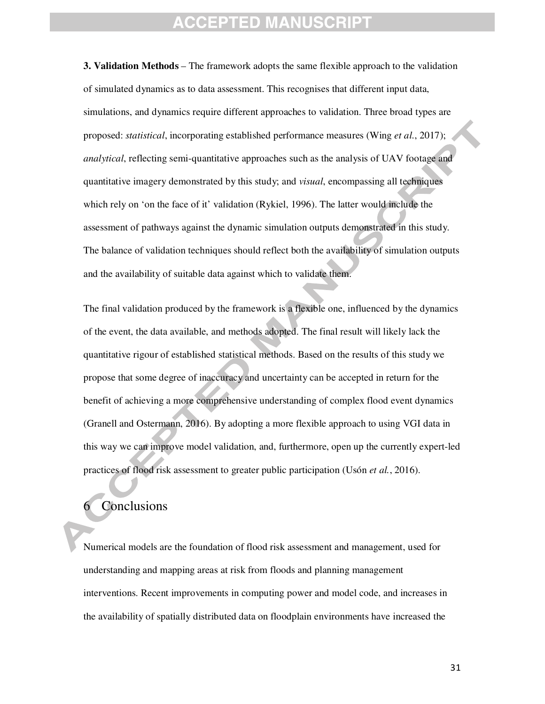**3. Validation Methods** – The framework adopts the same flexible approach to the validation of simulated dynamics as to data assessment. This recognises that different input data, simulations, and dynamics require different approaches to validation. Three broad types are proposed: *statistical*, incorporating established performance measures (Wing *et al.*, 2017); *analytical*, reflecting semi-quantitative approaches such as the analysis of UAV footage and quantitative imagery demonstrated by this study; and *visual*, encompassing all techniques which rely on 'on the face of it' validation (Rykiel, 1996). The latter would include the assessment of pathways against the dynamic simulation outputs demonstrated in this study. The balance of validation techniques should reflect both the availability of simulation outputs and the availability of suitable data against which to validate them.

The final validation produced by the framework is a flexible one, influenced by the dynamics of the event, the data available, and methods adopted. The final result will likely lack the quantitative rigour of established statistical methods. Based on the results of this study we propose that some degree of inaccuracy and uncertainty can be accepted in return for the benefit of achieving a more comprehensive understanding of complex flood event dynamics (Granell and Ostermann, 2016). By adopting a more flexible approach to using VGI data in this way we can improve model validation, and, furthermore, open up the currently expert-led practices of flood risk assessment to greater public participation (Usón *et al.*, 2016).

#### **Conclusions**

Numerical models are the foundation of flood risk assessment and management, used for understanding and mapping areas at risk from floods and planning management interventions. Recent improvements in computing power and model code, and increases in the availability of spatially distributed data on floodplain environments have increased the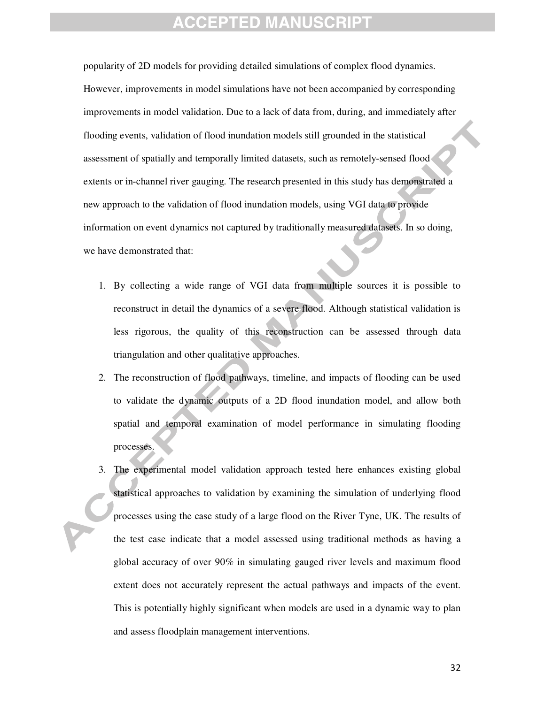popularity of 2D models for providing detailed simulations of complex flood dynamics. However, improvements in model simulations have not been accompanied by corresponding improvements in model validation. Due to a lack of data from, during, and immediately after flooding events, validation of flood inundation models still grounded in the statistical assessment of spatially and temporally limited datasets, such as remotely-sensed flood extents or in-channel river gauging. The research presented in this study has demonstrated a new approach to the validation of flood inundation models, using VGI data to provide information on event dynamics not captured by traditionally measured datasets. In so doing, we have demonstrated that:

- 1. By collecting a wide range of VGI data from multiple sources it is possible to reconstruct in detail the dynamics of a severe flood. Although statistical validation is less rigorous, the quality of this reconstruction can be assessed through data triangulation and other qualitative approaches.
- 2. The reconstruction of flood pathways, timeline, and impacts of flooding can be used to validate the dynamic outputs of a 2D flood inundation model, and allow both spatial and temporal examination of model performance in simulating flooding processes.
- 3. The experimental model validation approach tested here enhances existing global statistical approaches to validation by examining the simulation of underlying flood processes using the case study of a large flood on the River Tyne, UK. The results of the test case indicate that a model assessed using traditional methods as having a global accuracy of over 90% in simulating gauged river levels and maximum flood extent does not accurately represent the actual pathways and impacts of the event. This is potentially highly significant when models are used in a dynamic way to plan and assess floodplain management interventions.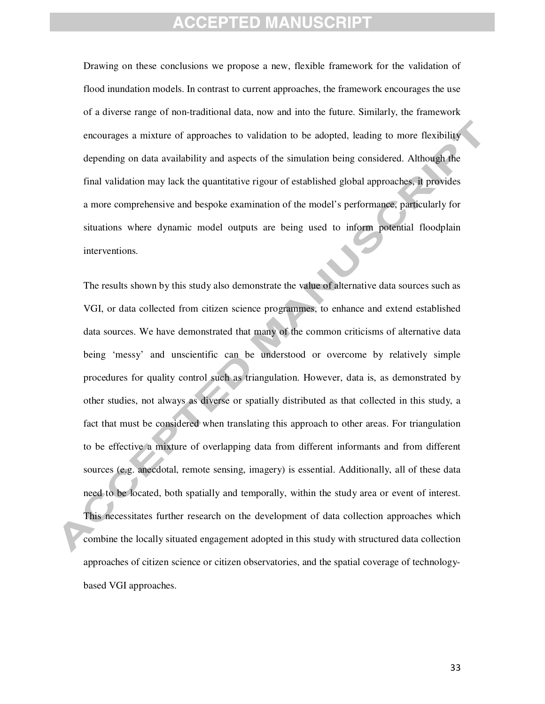Drawing on these conclusions we propose a new, flexible framework for the validation of flood inundation models. In contrast to current approaches, the framework encourages the use of a diverse range of non-traditional data, now and into the future. Similarly, the framework encourages a mixture of approaches to validation to be adopted, leading to more flexibility depending on data availability and aspects of the simulation being considered. Although the final validation may lack the quantitative rigour of established global approaches, it provides a more comprehensive and bespoke examination of the model's performance, particularly for situations where dynamic model outputs are being used to inform potential floodplain interventions.

The results shown by this study also demonstrate the value of alternative data sources such as VGI, or data collected from citizen science programmes, to enhance and extend established data sources. We have demonstrated that many of the common criticisms of alternative data being 'messy' and unscientific can be understood or overcome by relatively simple procedures for quality control such as triangulation. However, data is, as demonstrated by other studies, not always as diverse or spatially distributed as that collected in this study, a fact that must be considered when translating this approach to other areas. For triangulation to be effective a mixture of overlapping data from different informants and from different sources (e.g. anecdotal, remote sensing, imagery) is essential. Additionally, all of these data need to be located, both spatially and temporally, within the study area or event of interest. This necessitates further research on the development of data collection approaches which combine the locally situated engagement adopted in this study with structured data collection approaches of citizen science or citizen observatories, and the spatial coverage of technologybased VGI approaches.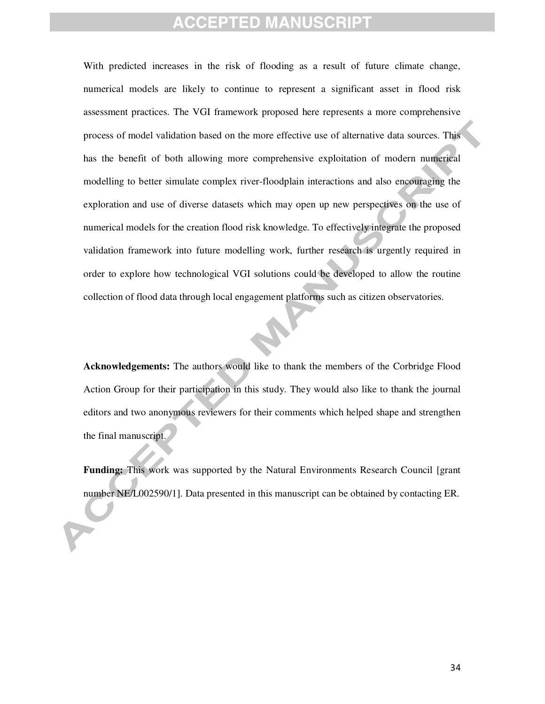With predicted increases in the risk of flooding as a result of future climate change, numerical models are likely to continue to represent a significant asset in flood risk assessment practices. The VGI framework proposed here represents a more comprehensive process of model validation based on the more effective use of alternative data sources. This has the benefit of both allowing more comprehensive exploitation of modern numerical modelling to better simulate complex river-floodplain interactions and also encouraging the exploration and use of diverse datasets which may open up new perspectives on the use of numerical models for the creation flood risk knowledge. To effectively integrate the proposed validation framework into future modelling work, further research is urgently required in order to explore how technological VGI solutions could be developed to allow the routine collection of flood data through local engagement platforms such as citizen observatories.

**Acknowledgements:** The authors would like to thank the members of the Corbridge Flood Action Group for their participation in this study. They would also like to thank the journal editors and two anonymous reviewers for their comments which helped shape and strengthen the final manuscript.

**Funding:** This work was supported by the Natural Environments Research Council [grant number NE/L002590/1]. Data presented in this manuscript can be obtained by contacting ER.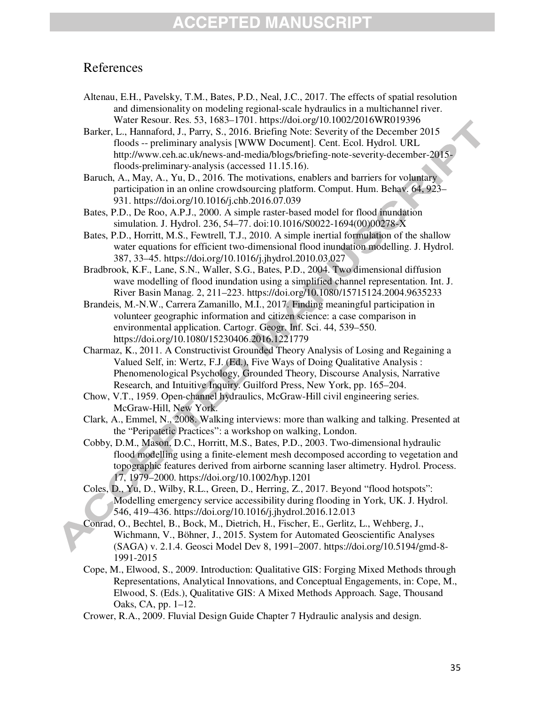### References

- Altenau, E.H., Pavelsky, T.M., Bates, P.D., Neal, J.C., 2017. The effects of spatial resolution and dimensionality on modeling regional-scale hydraulics in a multichannel river. Water Resour. Res. 53, 1683–1701. https://doi.org/10.1002/2016WR019396
- Barker, L., Hannaford, J., Parry, S., 2016. Briefing Note: Severity of the December 2015 floods -- preliminary analysis [WWW Document]. Cent. Ecol. Hydrol. URL http://www.ceh.ac.uk/news-and-media/blogs/briefing-note-severity-december-2015 floods-preliminary-analysis (accessed 11.15.16).
- Baruch, A., May, A., Yu, D., 2016. The motivations, enablers and barriers for voluntary participation in an online crowdsourcing platform. Comput. Hum. Behav. 64, 923– 931. https://doi.org/10.1016/j.chb.2016.07.039
- Bates, P.D., De Roo, A.P.J., 2000. A simple raster-based model for flood inundation simulation. J. Hydrol. 236, 54–77. doi:10.1016/S0022-1694(00)00278-X
- Bates, P.D., Horritt, M.S., Fewtrell, T.J., 2010. A simple inertial formulation of the shallow water equations for efficient two-dimensional flood inundation modelling. J. Hydrol. 387, 33–45. https://doi.org/10.1016/j.jhydrol.2010.03.027
- Bradbrook, K.F., Lane, S.N., Waller, S.G., Bates, P.D., 2004. Two dimensional diffusion wave modelling of flood inundation using a simplified channel representation. Int. J. River Basin Manag. 2, 211–223. https://doi.org/10.1080/15715124.2004.9635233
- Brandeis, M.-N.W., Carrera Zamanillo, M.I., 2017. Finding meaningful participation in volunteer geographic information and citizen science: a case comparison in environmental application. Cartogr. Geogr. Inf. Sci. 44, 539–550. https://doi.org/10.1080/15230406.2016.1221779
- Charmaz, K., 2011. A Constructivist Grounded Theory Analysis of Losing and Regaining a Valued Self, in: Wertz, F.J. (Ed.), Five Ways of Doing Qualitative Analysis : Phenomenological Psychology, Grounded Theory, Discourse Analysis, Narrative Research, and Intuitive Inquiry. Guilford Press, New York, pp. 165–204.
- Chow, V.T., 1959. Open-channel hydraulics, McGraw-Hill civil engineering series. McGraw-Hill, New York.
- Clark, A., Emmel, N., 2008. Walking interviews: more than walking and talking. Presented at the "Peripatetic Practices": a workshop on walking, London.
- Cobby, D.M., Mason, D.C., Horritt, M.S., Bates, P.D., 2003. Two-dimensional hydraulic flood modelling using a finite-element mesh decomposed according to vegetation and topographic features derived from airborne scanning laser altimetry. Hydrol. Process. 17, 1979–2000. https://doi.org/10.1002/hyp.1201
- Coles, D., Yu, D., Wilby, R.L., Green, D., Herring, Z., 2017. Beyond "flood hotspots": Modelling emergency service accessibility during flooding in York, UK. J. Hydrol. 546, 419–436. https://doi.org/10.1016/j.jhydrol.2016.12.013
- Conrad, O., Bechtel, B., Bock, M., Dietrich, H., Fischer, E., Gerlitz, L., Wehberg, J., Wichmann, V., Böhner, J., 2015. System for Automated Geoscientific Analyses (SAGA) v. 2.1.4. Geosci Model Dev 8, 1991–2007. https://doi.org/10.5194/gmd-8- 1991-2015
- Cope, M., Elwood, S., 2009. Introduction: Qualitative GIS: Forging Mixed Methods through Representations, Analytical Innovations, and Conceptual Engagements, in: Cope, M., Elwood, S. (Eds.), Qualitative GIS: A Mixed Methods Approach. Sage, Thousand Oaks, CA, pp. 1–12.
- Crower, R.A., 2009. Fluvial Design Guide Chapter 7 Hydraulic analysis and design.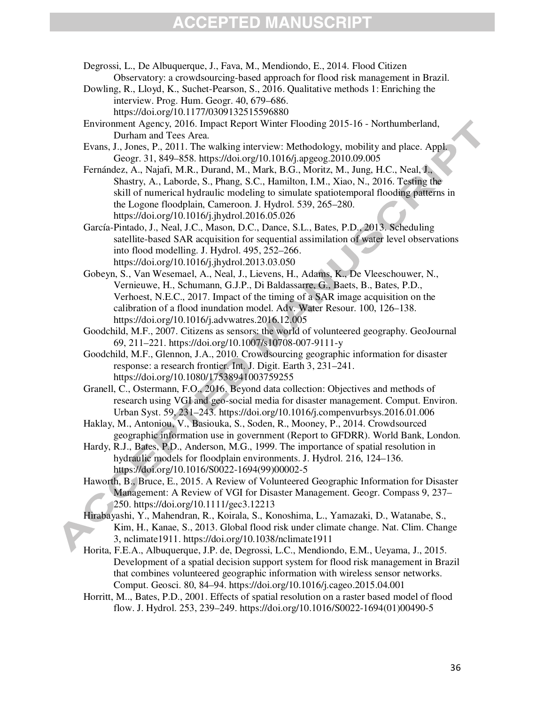Degrossi, L., De Albuquerque, J., Fava, M., Mendiondo, E., 2014. Flood Citizen Observatory: a crowdsourcing-based approach for flood risk management in Brazil.

Dowling, R., Lloyd, K., Suchet-Pearson, S., 2016. Qualitative methods 1: Enriching the interview. Prog. Hum. Geogr. 40, 679–686. https://doi.org/10.1177/0309132515596880

Environment Agency, 2016. Impact Report Winter Flooding 2015-16 - Northumberland, Durham and Tees Area.

Evans, J., Jones, P., 2011. The walking interview: Methodology, mobility and place. Appl. Geogr. 31, 849–858. https://doi.org/10.1016/j.apgeog.2010.09.005

Fernández, A., Najafi, M.R., Durand, M., Mark, B.G., Moritz, M., Jung, H.C., Neal, J., Shastry, A., Laborde, S., Phang, S.C., Hamilton, I.M., Xiao, N., 2016. Testing the skill of numerical hydraulic modeling to simulate spatiotemporal flooding patterns in the Logone floodplain, Cameroon. J. Hydrol. 539, 265–280. https://doi.org/10.1016/j.jhydrol.2016.05.026

García-Pintado, J., Neal, J.C., Mason, D.C., Dance, S.L., Bates, P.D., 2013. Scheduling satellite-based SAR acquisition for sequential assimilation of water level observations into flood modelling. J. Hydrol. 495, 252–266. https://doi.org/10.1016/j.jhydrol.2013.03.050

Gobeyn, S., Van Wesemael, A., Neal, J., Lievens, H., Adams, K., De Vleeschouwer, N., Vernieuwe, H., Schumann, G.J.P., Di Baldassarre, G., Baets, B., Bates, P.D., Verhoest, N.E.C., 2017. Impact of the timing of a SAR image acquisition on the calibration of a flood inundation model. Adv. Water Resour. 100, 126–138. https://doi.org/10.1016/j.advwatres.2016.12.005

Goodchild, M.F., 2007. Citizens as sensors: the world of volunteered geography. GeoJournal 69, 211–221. https://doi.org/10.1007/s10708-007-9111-y

Goodchild, M.F., Glennon, J.A., 2010. Crowdsourcing geographic information for disaster response: a research frontier. Int. J. Digit. Earth 3, 231–241. https://doi.org/10.1080/17538941003759255

Granell, C., Ostermann, F.O., 2016. Beyond data collection: Objectives and methods of research using VGI and geo-social media for disaster management. Comput. Environ. Urban Syst. 59, 231–243. https://doi.org/10.1016/j.compenvurbsys.2016.01.006

Haklay, M., Antoniou, V., Basiouka, S., Soden, R., Mooney, P., 2014. Crowdsourced geographic information use in government (Report to GFDRR). World Bank, London.

Hardy, R.J., Bates, P.D., Anderson, M.G., 1999. The importance of spatial resolution in hydraulic models for floodplain environments. J. Hydrol. 216, 124–136. https://doi.org/10.1016/S0022-1694(99)00002-5

Haworth, B., Bruce, E., 2015. A Review of Volunteered Geographic Information for Disaster Management: A Review of VGI for Disaster Management. Geogr. Compass 9, 237– 250. https://doi.org/10.1111/gec3.12213

Hirabayashi, Y., Mahendran, R., Koirala, S., Konoshima, L., Yamazaki, D., Watanabe, S., Kim, H., Kanae, S., 2013. Global flood risk under climate change. Nat. Clim. Change 3, nclimate1911. https://doi.org/10.1038/nclimate1911

Horita, F.E.A., Albuquerque, J.P. de, Degrossi, L.C., Mendiondo, E.M., Ueyama, J., 2015. Development of a spatial decision support system for flood risk management in Brazil that combines volunteered geographic information with wireless sensor networks. Comput. Geosci. 80, 84–94. https://doi.org/10.1016/j.cageo.2015.04.001

Horritt, M.., Bates, P.D., 2001. Effects of spatial resolution on a raster based model of flood flow. J. Hydrol. 253, 239–249. https://doi.org/10.1016/S0022-1694(01)00490-5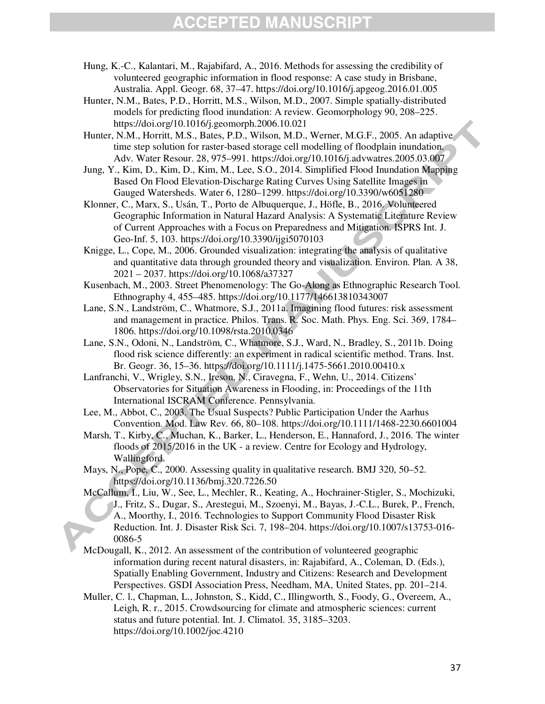- Hung, K.-C., Kalantari, M., Rajabifard, A., 2016. Methods for assessing the credibility of volunteered geographic information in flood response: A case study in Brisbane, Australia. Appl. Geogr. 68, 37–47. https://doi.org/10.1016/j.apgeog.2016.01.005
- Hunter, N.M., Bates, P.D., Horritt, M.S., Wilson, M.D., 2007. Simple spatially-distributed models for predicting flood inundation: A review. Geomorphology 90, 208–225. https://doi.org/10.1016/j.geomorph.2006.10.021
- Hunter, N.M., Horritt, M.S., Bates, P.D., Wilson, M.D., Werner, M.G.F., 2005. An adaptive time step solution for raster-based storage cell modelling of floodplain inundation. Adv. Water Resour. 28, 975–991. https://doi.org/10.1016/j.advwatres.2005.03.007
- Jung, Y., Kim, D., Kim, D., Kim, M., Lee, S.O., 2014. Simplified Flood Inundation Mapping Based On Flood Elevation-Discharge Rating Curves Using Satellite Images in Gauged Watersheds. Water 6, 1280–1299. https://doi.org/10.3390/w6051280
- Klonner, C., Marx, S., Usán, T., Porto de Albuquerque, J., Höfle, B., 2016. Volunteered Geographic Information in Natural Hazard Analysis: A Systematic Literature Review of Current Approaches with a Focus on Preparedness and Mitigation. ISPRS Int. J. Geo-Inf. 5, 103. https://doi.org/10.3390/ijgi5070103
- Knigge, L., Cope, M., 2006. Grounded visualization: integrating the analysis of qualitative and quantitative data through grounded theory and visualization. Environ. Plan. A 38, 2021 – 2037. https://doi.org/10.1068/a37327
- Kusenbach, M., 2003. Street Phenomenology: The Go-Along as Ethnographic Research Tool. Ethnography 4, 455–485. https://doi.org/10.1177/146613810343007
- Lane, S.N., Landström, C., Whatmore, S.J., 2011a. Imagining flood futures: risk assessment and management in practice. Philos. Trans. R. Soc. Math. Phys. Eng. Sci. 369, 1784– 1806. https://doi.org/10.1098/rsta.2010.0346
- Lane, S.N., Odoni, N., Landström, C., Whatmore, S.J., Ward, N., Bradley, S., 2011b. Doing flood risk science differently: an experiment in radical scientific method. Trans. Inst. Br. Geogr. 36, 15–36. https://doi.org/10.1111/j.1475-5661.2010.00410.x
- Lanfranchi, V., Wrigley, S.N., Ireson, N., Ciravegna, F., Wehn, U., 2014. Citizens' Observatories for Situation Awareness in Flooding, in: Proceedings of the 11th International ISCRAM Conference. Pennsylvania.
- Lee, M., Abbot, C., 2003. The Usual Suspects? Public Participation Under the Aarhus Convention. Mod. Law Rev. 66, 80–108. https://doi.org/10.1111/1468-2230.6601004
- Marsh, T., Kirby, C., Muchan, K., Barker, L., Henderson, E., Hannaford, J., 2016. The winter floods of 2015/2016 in the UK - a review. Centre for Ecology and Hydrology, Wallingford.
- Mays, N., Pope, C., 2000. Assessing quality in qualitative research. BMJ 320, 50–52. https://doi.org/10.1136/bmj.320.7226.50
- McCallum, I., Liu, W., See, L., Mechler, R., Keating, A., Hochrainer-Stigler, S., Mochizuki, J., Fritz, S., Dugar, S., Arestegui, M., Szoenyi, M., Bayas, J.-C.L., Burek, P., French, A., Moorthy, I., 2016. Technologies to Support Community Flood Disaster Risk Reduction. Int. J. Disaster Risk Sci. 7, 198–204. https://doi.org/10.1007/s13753-016- 0086-5
- McDougall, K., 2012. An assessment of the contribution of volunteered geographic information during recent natural disasters, in: Rajabifard, A., Coleman, D. (Eds.), Spatially Enabling Government, Industry and Citizens: Research and Development Perspectives. GSDI Association Press, Needham, MA, United States, pp. 201–214.
- Muller, C. l., Chapman, L., Johnston, S., Kidd, C., Illingworth, S., Foody, G., Overeem, A., Leigh, R. r., 2015. Crowdsourcing for climate and atmospheric sciences: current status and future potential. Int. J. Climatol. 35, 3185–3203. https://doi.org/10.1002/joc.4210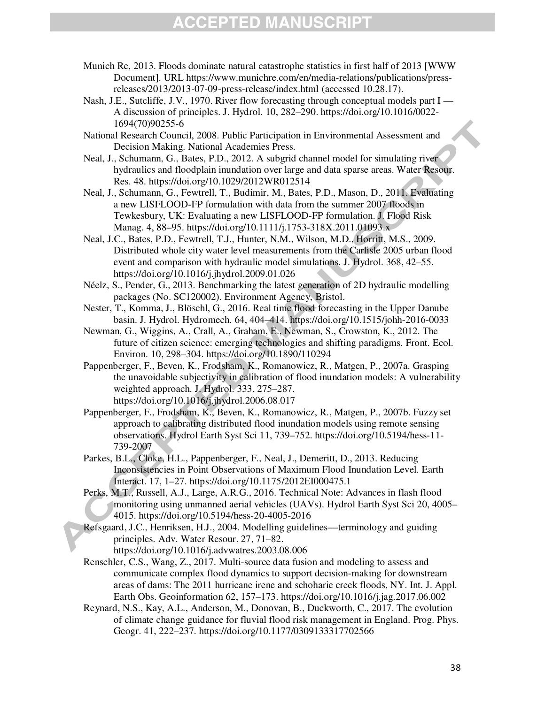- Munich Re, 2013. Floods dominate natural catastrophe statistics in first half of 2013 [WWW Document]. URL https://www.munichre.com/en/media-relations/publications/pressreleases/2013/2013-07-09-press-release/index.html (accessed 10.28.17).
- Nash, J.E., Sutcliffe, J.V., 1970. River flow forecasting through conceptual models part I A discussion of principles. J. Hydrol. 10, 282–290. https://doi.org/10.1016/0022- 1694(70)90255-6
- National Research Council, 2008. Public Participation in Environmental Assessment and Decision Making. National Academies Press.
- Neal, J., Schumann, G., Bates, P.D., 2012. A subgrid channel model for simulating river hydraulics and floodplain inundation over large and data sparse areas. Water Resour. Res. 48. https://doi.org/10.1029/2012WR012514
- Neal, J., Schumann, G., Fewtrell, T., Budimir, M., Bates, P.D., Mason, D., 2011. Evaluating a new LISFLOOD-FP formulation with data from the summer 2007 floods in Tewkesbury, UK: Evaluating a new LISFLOOD-FP formulation. J. Flood Risk Manag. 4, 88–95. https://doi.org/10.1111/j.1753-318X.2011.01093.x
- Neal, J.C., Bates, P.D., Fewtrell, T.J., Hunter, N.M., Wilson, M.D., Horritt, M.S., 2009. Distributed whole city water level measurements from the Carlisle 2005 urban flood event and comparison with hydraulic model simulations. J. Hydrol. 368, 42–55. https://doi.org/10.1016/j.jhydrol.2009.01.026
- Néelz, S., Pender, G., 2013. Benchmarking the latest generation of 2D hydraulic modelling packages (No. SC120002). Environment Agency, Bristol.
- Nester, T., Komma, J., Blöschl, G., 2016. Real time flood forecasting in the Upper Danube basin. J. Hydrol. Hydromech. 64, 404–414. https://doi.org/10.1515/johh-2016-0033
- Newman, G., Wiggins, A., Crall, A., Graham, E., Newman, S., Crowston, K., 2012. The future of citizen science: emerging technologies and shifting paradigms. Front. Ecol. Environ. 10, 298–304. https://doi.org/10.1890/110294
- Pappenberger, F., Beven, K., Frodsham, K., Romanowicz, R., Matgen, P., 2007a. Grasping the unavoidable subjectivity in calibration of flood inundation models: A vulnerability weighted approach. J. Hydrol. 333, 275–287. https://doi.org/10.1016/j.jhydrol.2006.08.017
- Pappenberger, F., Frodsham, K., Beven, K., Romanowicz, R., Matgen, P., 2007b. Fuzzy set approach to calibrating distributed flood inundation models using remote sensing observations. Hydrol Earth Syst Sci 11, 739–752. https://doi.org/10.5194/hess-11- 739-2007
- Parkes, B.L., Cloke, H.L., Pappenberger, F., Neal, J., Demeritt, D., 2013. Reducing Inconsistencies in Point Observations of Maximum Flood Inundation Level. Earth Interact. 17, 1–27. https://doi.org/10.1175/2012EI000475.1
- Perks, M.T., Russell, A.J., Large, A.R.G., 2016. Technical Note: Advances in flash flood monitoring using unmanned aerial vehicles (UAVs). Hydrol Earth Syst Sci 20, 4005– 4015. https://doi.org/10.5194/hess-20-4005-2016

Refsgaard, J.C., Henriksen, H.J., 2004. Modelling guidelines––terminology and guiding principles. Adv. Water Resour. 27, 71–82. https://doi.org/10.1016/j.advwatres.2003.08.006

- Renschler, C.S., Wang, Z., 2017. Multi-source data fusion and modeling to assess and communicate complex flood dynamics to support decision-making for downstream areas of dams: The 2011 hurricane irene and schoharie creek floods, NY. Int. J. Appl. Earth Obs. Geoinformation 62, 157–173. https://doi.org/10.1016/j.jag.2017.06.002
- Reynard, N.S., Kay, A.L., Anderson, M., Donovan, B., Duckworth, C., 2017. The evolution of climate change guidance for fluvial flood risk management in England. Prog. Phys. Geogr. 41, 222–237. https://doi.org/10.1177/0309133317702566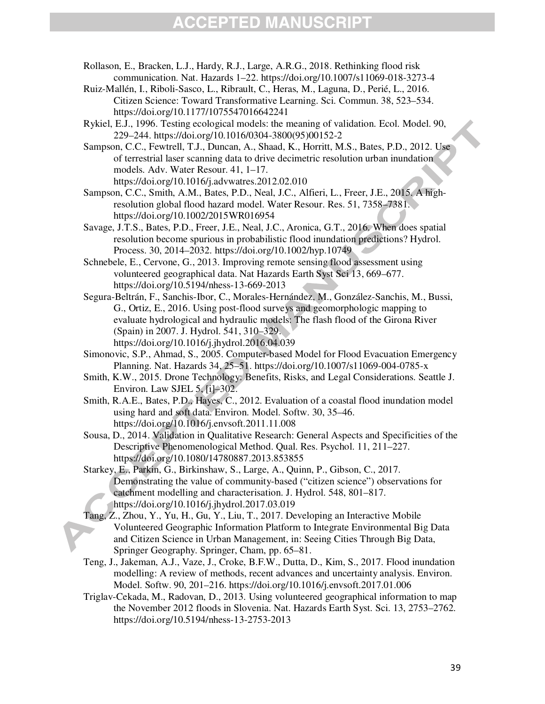- Rollason, E., Bracken, L.J., Hardy, R.J., Large, A.R.G., 2018. Rethinking flood risk communication. Nat. Hazards 1–22. https://doi.org/10.1007/s11069-018-3273-4
- Ruiz-Mallén, I., Riboli-Sasco, L., Ribrault, C., Heras, M., Laguna, D., Perié, L., 2016. Citizen Science: Toward Transformative Learning. Sci. Commun. 38, 523–534. https://doi.org/10.1177/1075547016642241
- Rykiel, E.J., 1996. Testing ecological models: the meaning of validation. Ecol. Model. 90, 229–244. https://doi.org/10.1016/0304-3800(95)00152-2

Sampson, C.C., Fewtrell, T.J., Duncan, A., Shaad, K., Horritt, M.S., Bates, P.D., 2012. Use of terrestrial laser scanning data to drive decimetric resolution urban inundation models. Adv. Water Resour. 41, 1–17. https://doi.org/10.1016/j.advwatres.2012.02.010

Sampson, C.C., Smith, A.M., Bates, P.D., Neal, J.C., Alfieri, L., Freer, J.E., 2015. A highresolution global flood hazard model. Water Resour. Res. 51, 7358–7381. https://doi.org/10.1002/2015WR016954

Savage, J.T.S., Bates, P.D., Freer, J.E., Neal, J.C., Aronica, G.T., 2016. When does spatial resolution become spurious in probabilistic flood inundation predictions? Hydrol. Process. 30, 2014–2032. https://doi.org/10.1002/hyp.10749

Schnebele, E., Cervone, G., 2013. Improving remote sensing flood assessment using volunteered geographical data. Nat Hazards Earth Syst Sci 13, 669–677. https://doi.org/10.5194/nhess-13-669-2013

- Segura-Beltrán, F., Sanchis-Ibor, C., Morales-Hernández, M., González-Sanchis, M., Bussi, G., Ortiz, E., 2016. Using post-flood surveys and geomorphologic mapping to evaluate hydrological and hydraulic models: The flash flood of the Girona River (Spain) in 2007. J. Hydrol. 541, 310–329. https://doi.org/10.1016/j.jhydrol.2016.04.039
- Simonovic, S.P., Ahmad, S., 2005. Computer-based Model for Flood Evacuation Emergency Planning. Nat. Hazards 34, 25–51. https://doi.org/10.1007/s11069-004-0785-x
- Smith, K.W., 2015. Drone Technology: Benefits, Risks, and Legal Considerations. Seattle J. Environ. Law SJEL 5, [i]–302.

Smith, R.A.E., Bates, P.D., Hayes, C., 2012. Evaluation of a coastal flood inundation model using hard and soft data. Environ. Model. Softw. 30, 35–46. https://doi.org/10.1016/j.envsoft.2011.11.008

Sousa, D., 2014. Validation in Qualitative Research: General Aspects and Specificities of the Descriptive Phenomenological Method. Qual. Res. Psychol. 11, 211–227. https://doi.org/10.1080/14780887.2013.853855

Starkey, E., Parkin, G., Birkinshaw, S., Large, A., Quinn, P., Gibson, C., 2017. Demonstrating the value of community-based ("citizen science") observations for catchment modelling and characterisation. J. Hydrol. 548, 801–817. https://doi.org/10.1016/j.jhydrol.2017.03.019

Tang, Z., Zhou, Y., Yu, H., Gu, Y., Liu, T., 2017. Developing an Interactive Mobile Volunteered Geographic Information Platform to Integrate Environmental Big Data and Citizen Science in Urban Management, in: Seeing Cities Through Big Data, Springer Geography. Springer, Cham, pp. 65–81.

Teng, J., Jakeman, A.J., Vaze, J., Croke, B.F.W., Dutta, D., Kim, S., 2017. Flood inundation modelling: A review of methods, recent advances and uncertainty analysis. Environ. Model. Softw. 90, 201–216. https://doi.org/10.1016/j.envsoft.2017.01.006

Triglav-Cekada, M., Radovan, D., 2013. Using volunteered geographical information to map the November 2012 floods in Slovenia. Nat. Hazards Earth Syst. Sci. 13, 2753–2762. https://doi.org/10.5194/nhess-13-2753-2013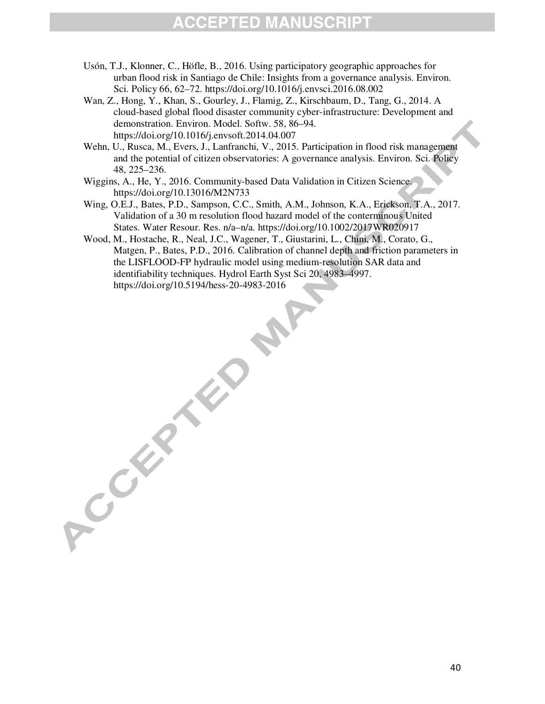- Usón, T.J., Klonner, C., Höfle, B., 2016. Using participatory geographic approaches for urban flood risk in Santiago de Chile: Insights from a governance analysis. Environ. Sci. Policy 66, 62–72. https://doi.org/10.1016/j.envsci.2016.08.002
- Wan, Z., Hong, Y., Khan, S., Gourley, J., Flamig, Z., Kirschbaum, D., Tang, G., 2014. A cloud-based global flood disaster community cyber-infrastructure: Development and demonstration. Environ. Model. Softw. 58, 86–94. https://doi.org/10.1016/j.envsoft.2014.04.007
- Wehn, U., Rusca, M., Evers, J., Lanfranchi, V., 2015. Participation in flood risk management and the potential of citizen observatories: A governance analysis. Environ. Sci. Policy 48, 225–236.
- Wiggins, A., He, Y., 2016. Community-based Data Validation in Citizen Science. https://doi.org/10.13016/M2N733

A COLLAN

- Wing, O.E.J., Bates, P.D., Sampson, C.C., Smith, A.M., Johnson, K.A., Erickson, T.A., 2017. Validation of a 30 m resolution flood hazard model of the conterminous United States. Water Resour. Res. n/a–n/a. https://doi.org/10.1002/2017WR020917
- Wood, M., Hostache, R., Neal, J.C., Wagener, T., Giustarini, L., Chini, M., Corato, G., Matgen, P., Bates, P.D., 2016. Calibration of channel depth and friction parameters in the LISFLOOD-FP hydraulic model using medium-resolution SAR data and identifiability techniques. Hydrol Earth Syst Sci 20, 4983–4997. https://doi.org/10.5194/hess-20-4983-2016

PAP